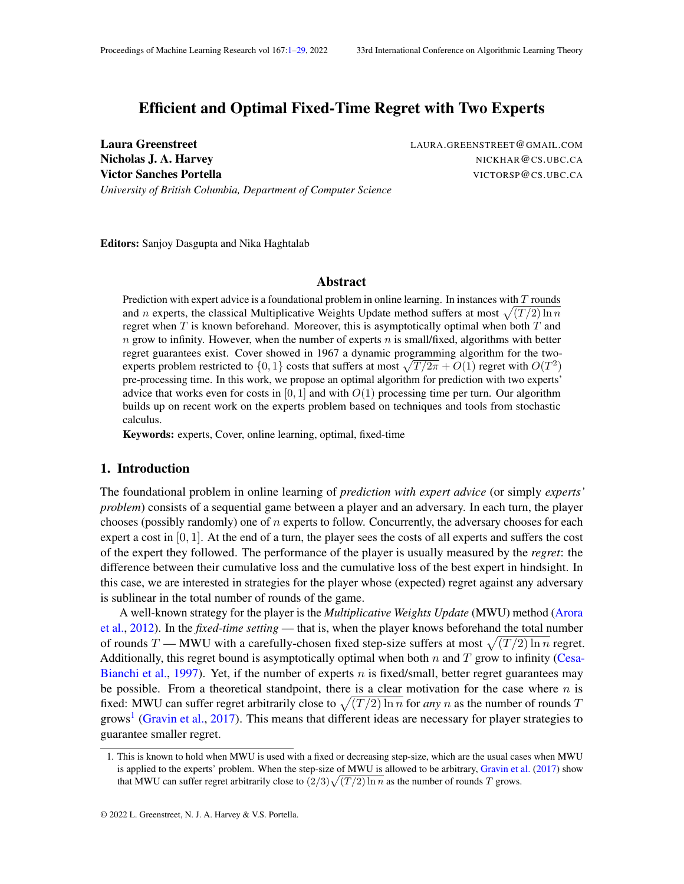# <span id="page-0-0"></span>Efficient and Optimal Fixed-Time Regret with Two Experts

Laura Greenstreet **LAURA.GREENSTREET@GMAIL.COM** Nicholas J. A. Harvey NICKHAR@CS.UBC.CA Victor Sanches Portella VICTORSP@CS.UBC.CA *University of British Columbia, Department of Computer Science*

Editors: Sanjoy Dasgupta and Nika Haghtalab

### Abstract

Prediction with expert advice is a foundational problem in online learning. In instances with T rounds and n experts, the classical Multiplicative Weights Update method suffers at most  $\sqrt{(T / 2) \ln n}$ regret when  $T$  is known beforehand. Moreover, this is asymptotically optimal when both  $T$  and  $n$  grow to infinity. However, when the number of experts  $n$  is small/fixed, algorithms with better regret guarantees exist. Cover showed in 1967 a dynamic programming algorithm for the twoexperts problem restricted to  $\{0,1\}$  costs that suffers at most  $\sqrt{T/2\pi} + O(1)$  regret with  $O(T^2)$ pre-processing time. In this work, we propose an optimal algorithm for prediction with two experts' advice that works even for costs in  $[0, 1]$  and with  $O(1)$  processing time per turn. Our algorithm builds up on recent work on the experts problem based on techniques and tools from stochastic calculus.

Keywords: experts, Cover, online learning, optimal, fixed-time

### 1. Introduction

The foundational problem in online learning of *prediction with expert advice* (or simply *experts' problem*) consists of a sequential game between a player and an adversary. In each turn, the player chooses (possibly randomly) one of  $n$  experts to follow. Concurrently, the adversary chooses for each expert a cost in  $[0, 1]$ . At the end of a turn, the player sees the costs of all experts and suffers the cost of the expert they followed. The performance of the player is usually measured by the *regret*: the difference between their cumulative loss and the cumulative loss of the best expert in hindsight. In this case, we are interested in strategies for the player whose (expected) regret against any adversary is sublinear in the total number of rounds of the game.

A well-known strategy for the player is the *Multiplicative Weights Update* (MWU) method [\(Arora](#page-13-0) [et al.,](#page-13-0) [2012\)](#page-13-0). In the *fixed-time setting* — that is, when the player knows beforehand the total number of rounds T — MWU with a carefully-chosen fixed step-size suffers at most  $\sqrt{(T/2)\ln n}$  regret. Additionally, this regret bound is asymptotically optimal when both n and  $T$  grow to infinity [\(Cesa-](#page-13-1)[Bianchi et al.,](#page-13-1) [1997\)](#page-13-1). Yet, if the number of experts  $n$  is fixed/small, better regret guarantees may be possible. From a theoretical standpoint, there is a clear motivation for the case where  $n$  is fixed: MWU can suffer regret arbitrarily close to  $\sqrt{(T / 2) \ln n}$  for *any* n as the number of rounds T grows<sup>[1](#page-0-1)</sup> [\(Gravin et al.,](#page-13-2) [2017\)](#page-13-2). This means that different ideas are necessary for player strategies to guarantee smaller regret.

<span id="page-0-1"></span><sup>1.</sup> This is known to hold when MWU is used with a fixed or decreasing step-size, which are the usual cases when MWU is applied to the experts' problem. When the step-size of MWU is allowed to be arbitrary, [Gravin et al.](#page-13-2) [\(2017\)](#page-13-2) show that MWU can suffer regret arbitrarily close to  $(2/3)\sqrt{(T/2)\ln n}$  as the number of rounds T grows.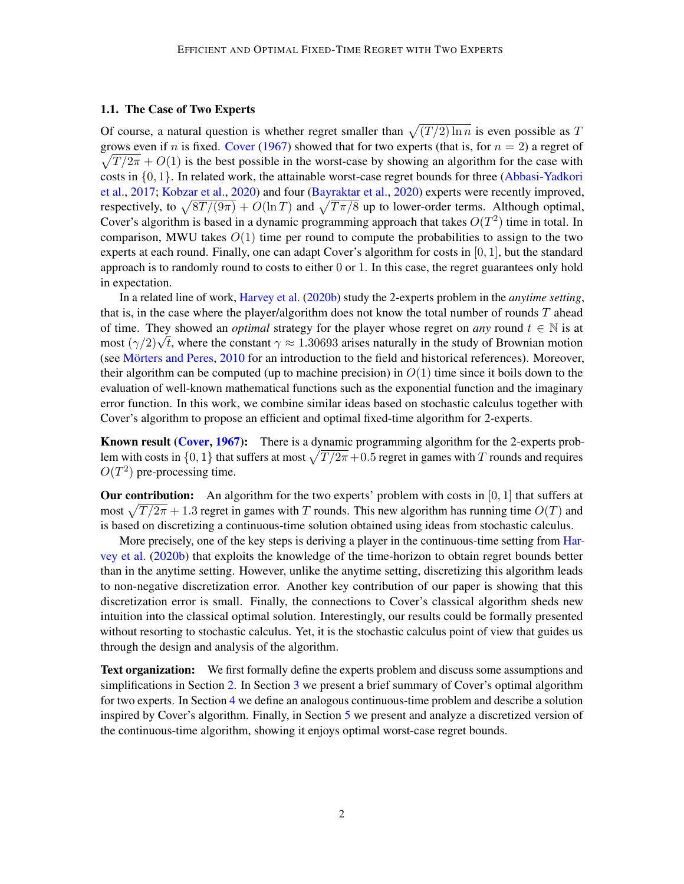#### 1.1. The Case of Two Experts

Of course, a natural question is whether regret smaller than  $\sqrt{(T/2)\ln n}$  is even possible as T grows even if *n* is fixed. [Cover](#page-13-3) [\(1967\)](#page-13-3) showed that for two experts (that is, for  $n = 2$ ) a regret of  $\sqrt{T/2\pi} + O(1)$  is the best possible in the worst-case by showing an algorithm for the case with costs in  $\{0, 1\}$ . In related work, the attainable worst-case regret bounds for three [\(Abbasi-Yadkori](#page-13-4) [et al.,](#page-13-4) [2017;](#page-13-4) [Kobzar et al.,](#page-14-0) [2020\)](#page-14-0) and four [\(Bayraktar et al.,](#page-13-5) [2020\)](#page-13-5) experts were recently improved, respectively, to  $\sqrt{8T/(9\pi)} + O(\ln T)$  and  $\sqrt{T\pi/8}$  up to lower-order terms. Although optimal, Cover's algorithm is based in a dynamic programming approach that takes  $O(T^2)$  time in total. In comparison, MWU takes  $O(1)$  time per round to compute the probabilities to assign to the two experts at each round. Finally, one can adapt Cover's algorithm for costs in  $[0, 1]$ , but the standard approach is to randomly round to costs to either 0 or 1. In this case, the regret guarantees only hold in expectation.

In a related line of work, [Harvey et al.](#page-13-6) [\(2020b\)](#page-13-6) study the 2-experts problem in the *anytime setting*, that is, in the case where the player/algorithm does not know the total number of rounds  $T$  ahead of time. They showed an *optimal* strategy for the player whose regret on *any* round  $t \in \mathbb{N}$  is at of the text of the showed an *optimal* strategy for the player whose regret on *any* found  $t \in \mathbb{N}$  is at most  $(\gamma/2)\sqrt{t}$ , where the constant  $\gamma \approx 1.30693$  arises naturally in the study of Brownian motion (see [Mörters and Peres,](#page-14-1) [2010](#page-14-1) for an introduction to the field and historical references). Moreover, their algorithm can be computed (up to machine precision) in  $O(1)$  time since it boils down to the evaluation of well-known mathematical functions such as the exponential function and the imaginary error function. In this work, we combine similar ideas based on stochastic calculus together with Cover's algorithm to propose an efficient and optimal fixed-time algorithm for 2-experts.

Known result [\(Cover,](#page-13-3) [1967\)](#page-13-3): There is a dynamic programming algorithm for the 2-experts problem with costs in  $\{0, 1\}$  that suffers at most  $\sqrt{T / 2\pi} + 0.5$  regret in games with  $T$  rounds and requires  $O(T^2)$  pre-processing time.

**Our contribution:** An algorithm for the two experts' problem with costs in  $[0, 1]$  that suffers at most  $\sqrt{T/2\pi} + 1.3$  regret in games with T rounds. This new algorithm has running time  $O(T)$  and is based on discretizing a continuous-time solution obtained using ideas from stochastic calculus.

More precisely, one of the key steps is deriving a player in the continuous-time setting from [Har](#page-13-6)[vey et al.](#page-13-6) [\(2020b\)](#page-13-6) that exploits the knowledge of the time-horizon to obtain regret bounds better than in the anytime setting. However, unlike the anytime setting, discretizing this algorithm leads to non-negative discretization error. Another key contribution of our paper is showing that this discretization error is small. Finally, the connections to Cover's classical algorithm sheds new intuition into the classical optimal solution. Interestingly, our results could be formally presented without resorting to stochastic calculus. Yet, it is the stochastic calculus point of view that guides us through the design and analysis of the algorithm.

**Text organization:** We first formally define the experts problem and discuss some assumptions and simplifications in Section [2.](#page-2-0) In Section [3](#page-3-0) we present a brief summary of Cover's optimal algorithm for two experts. In Section [4](#page-4-0) we define an analogous continuous-time problem and describe a solution inspired by Cover's algorithm. Finally, in Section [5](#page-9-0) we present and analyze a discretized version of the continuous-time algorithm, showing it enjoys optimal worst-case regret bounds.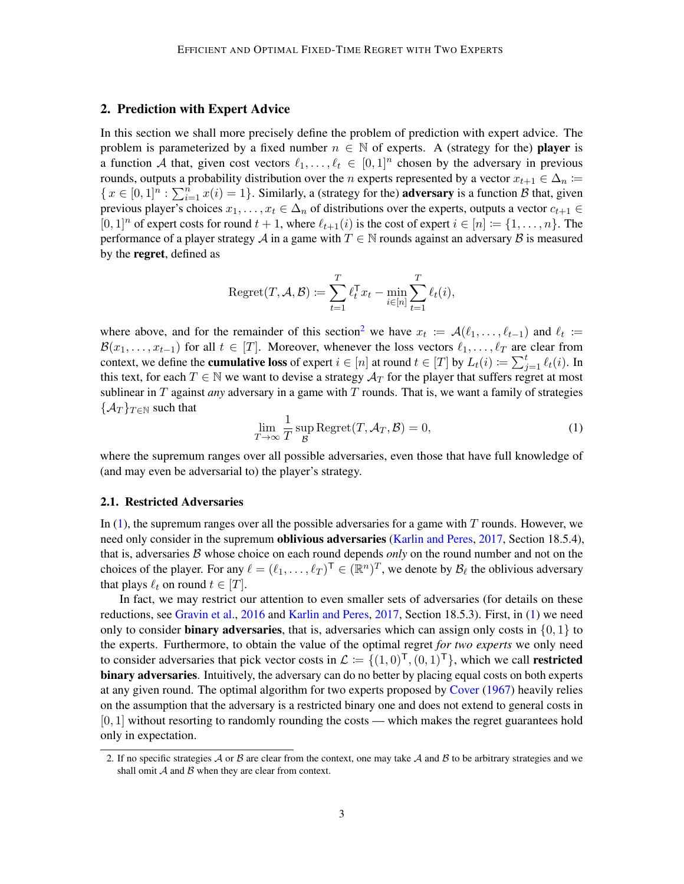## <span id="page-2-0"></span>2. Prediction with Expert Advice

In this section we shall more precisely define the problem of prediction with expert advice. The problem is parameterized by a fixed number  $n \in \mathbb{N}$  of experts. A (strategy for the) **player** is a function A that, given cost vectors  $\ell_1, \ldots, \ell_t \in [0, 1]^n$  chosen by the adversary in previous rounds, outputs a probability distribution over the n experts represented by a vector  $x_{t+1} \in \Delta_n :=$  $\{x \in [0,1]^n : \sum_{i=1}^n x(i) = 1\}$ . Similarly, a (strategy for the) **adversary** is a function B that, given previous player's choices  $x_1, \ldots, x_t \in \Delta_n$  of distributions over the experts, outputs a vector  $c_{t+1} \in$  $[0, 1]^n$  of expert costs for round  $t + 1$ , where  $\ell_{t+1}(i)$  is the cost of expert  $i \in [n] := \{1, \ldots, n\}$ . The performance of a player strategy A in a game with  $T \in \mathbb{N}$  rounds against an adversary B is measured by the regret, defined as

$$
\text{Regret}(T, A, B) \coloneqq \sum_{t=1}^T \ell_t^{\mathsf{T}} x_t - \min_{i \in [n]} \sum_{t=1}^T \ell_t(i),
$$

where above, and for the remainder of this section<sup>[2](#page-2-1)</sup> we have  $x_t := \mathcal{A}(\ell_1, \ldots, \ell_{t-1})$  and  $\ell_t :=$  $\mathcal{B}(x_1, \ldots, x_{t-1})$  for all  $t \in [T]$ . Moreover, whenever the loss vectors  $\ell_1, \ldots, \ell_T$  are clear from context, we define the **cumulative loss** of expert  $i \in [n]$  at round  $t \in [T]$  by  $L_t(i) \coloneqq \sum_{j=1}^t \ell_t(i)$ . In this text, for each  $T \in \mathbb{N}$  we want to devise a strategy  $\mathcal{A}_T$  for the player that suffers regret at most sublinear in  $T$  against *any* adversary in a game with  $T$  rounds. That is, we want a family of strategies  $\{\mathcal{A}_T\}_{T \in \mathbb{N}}$  such that

<span id="page-2-2"></span>
$$
\lim_{T \to \infty} \frac{1}{T} \sup_{\mathcal{B}} \text{Regret}(T, \mathcal{A}_T, \mathcal{B}) = 0,\tag{1}
$$

where the supremum ranges over all possible adversaries, even those that have full knowledge of (and may even be adversarial to) the player's strategy.

#### 2.1. Restricted Adversaries

In  $(1)$ , the supremum ranges over all the possible adversaries for a game with T rounds. However, we need only consider in the supremum **oblivious adversaries** [\(Karlin and Peres,](#page-14-2) [2017,](#page-14-2) Section 18.5.4), that is, adversaries B whose choice on each round depends *only* on the round number and not on the choices of the player. For any  $\ell = (\ell_1, \ldots, \ell_T)^{\top} \in (\mathbb{R}^n)^T$ , we denote by  $\mathcal{B}_{\ell}$  the oblivious adversary that plays  $\ell_t$  on round  $t \in [T]$ .

In fact, we may restrict our attention to even smaller sets of adversaries (for details on these reductions, see [Gravin et al.,](#page-13-7) [2016](#page-13-7) and [Karlin and Peres,](#page-14-2) [2017,](#page-14-2) Section 18.5.3). First, in [\(1\)](#page-2-2) we need only to consider **binary adversaries**, that is, adversaries which can assign only costs in  $\{0, 1\}$  to the experts. Furthermore, to obtain the value of the optimal regret *for two experts* we only need to consider adversaries that pick vector costs in  $\mathcal{L} := \{(1,0)^T,(0,1)^T\}$ , which we call **restricted** binary adversaries. Intuitively, the adversary can do no better by placing equal costs on both experts at any given round. The optimal algorithm for two experts proposed by [Cover](#page-13-3) [\(1967\)](#page-13-3) heavily relies on the assumption that the adversary is a restricted binary one and does not extend to general costs in  $[0, 1]$  without resorting to randomly rounding the costs — which makes the regret guarantees hold only in expectation.

<span id="page-2-1"></span><sup>2.</sup> If no specific strategies  $\mathcal A$  or  $\mathcal B$  are clear from the context, one may take  $\mathcal A$  and  $\mathcal B$  to be arbitrary strategies and we shall omit  $A$  and  $B$  when they are clear from context.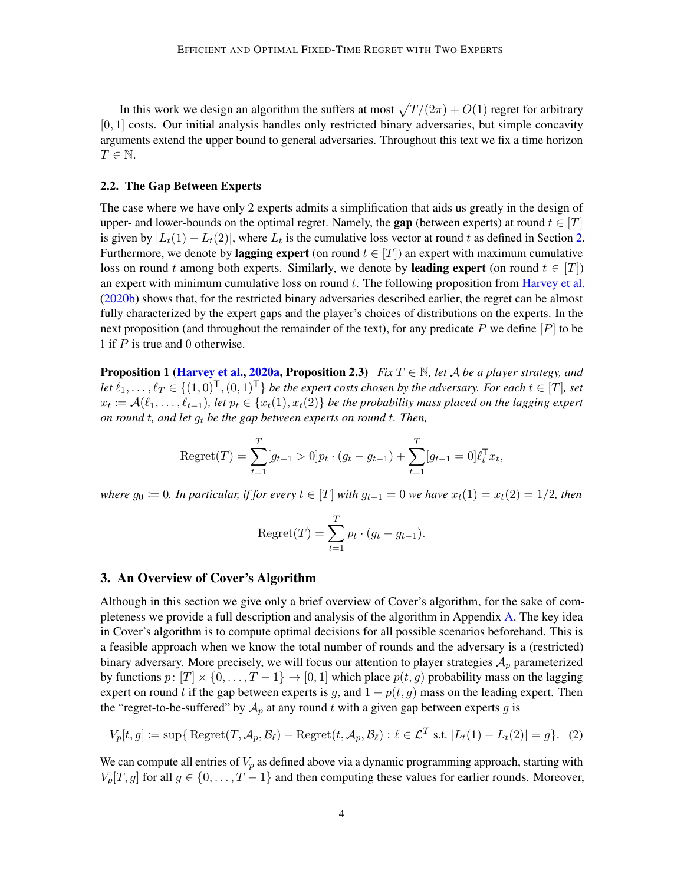In this work we design an algorithm the suffers at most  $\sqrt{T/(2\pi)} + O(1)$  regret for arbitrary [0, 1] costs. Our initial analysis handles only restricted binary adversaries, but simple concavity arguments extend the upper bound to general adversaries. Throughout this text we fix a time horizon  $T \in \mathbb{N}$ .

## 2.2. The Gap Between Experts

The case where we have only 2 experts admits a simplification that aids us greatly in the design of upper- and lower-bounds on the optimal regret. Namely, the gap (between experts) at round  $t \in [T]$ is given by  $|L_t(1) - L_t(2)|$ , where  $L_t$  is the cumulative loss vector at round t as defined in Section [2.](#page-2-0) Furthermore, we denote by lagging expert (on round  $t \in [T]$ ) an expert with maximum cumulative loss on round t among both experts. Similarly, we denote by **leading expert** (on round  $t \in [T]$ ) an expert with minimum cumulative loss on round t. The following proposition from [Harvey et al.](#page-13-6) [\(2020b\)](#page-13-6) shows that, for the restricted binary adversaries described earlier, the regret can be almost fully characterized by the expert gaps and the player's choices of distributions on the experts. In the next proposition (and throughout the remainder of the text), for any predicate P we define  $[P]$  to be 1 if  $P$  is true and 0 otherwise.

<span id="page-3-1"></span>**Proposition 1 [\(Harvey et al.,](#page-13-8) [2020a,](#page-13-8) Proposition 2.3)** *Fix*  $T \in \mathbb{N}$ *, let* A *be a player strategy, and let*  $\ell_1, \ldots, \ell_T \in \{(1, 0)^T, (0, 1)^T\}$  *be the expert costs chosen by the adversary. For each*  $t \in [T]$ *, set*  $x_t \coloneqq \mathcal{A}(\ell_1,\ldots,\ell_{t-1}),$  let  $p_t \in \{x_t(1),x_t(2)\}$  be the probability mass placed on the lagging expert *on round t, and let*  $g_t$  *be the gap between experts on round t. Then,* 

Regret
$$
(T)
$$
 =  $\sum_{t=1}^{T} [g_{t-1} > 0] p_t \cdot (g_t - g_{t-1}) + \sum_{t=1}^{T} [g_{t-1} = 0] \ell_t^{\mathsf{T}} x_t$ ,

*where*  $g_0 := 0$ *. In particular, if for every*  $t \in [T]$  *with*  $g_{t-1} = 0$  *we have*  $x_t(1) = x_t(2) = 1/2$ *, then* 

$$
\text{Regret}(T) = \sum_{t=1}^{T} p_t \cdot (g_t - g_{t-1}).
$$

## <span id="page-3-0"></span>3. An Overview of Cover's Algorithm

Although in this section we give only a brief overview of Cover's algorithm, for the sake of completeness we provide a full description and analysis of the algorithm in Appendix [A.](#page-14-3) The key idea in Cover's algorithm is to compute optimal decisions for all possible scenarios beforehand. This is a feasible approach when we know the total number of rounds and the adversary is a (restricted) binary adversary. More precisely, we will focus our attention to player strategies  $A_p$  parameterized by functions  $p: [T] \times \{0, \ldots, T-1\} \rightarrow [0, 1]$  which place  $p(t, g)$  probability mass on the lagging expert on round t if the gap between experts is g, and  $1 - p(t, g)$  mass on the leading expert. Then the "regret-to-be-suffered" by  $A_p$  at any round t with a given gap between experts g is

$$
V_p[t, g] \coloneqq \sup\{\text{Regret}(T, \mathcal{A}_p, \mathcal{B}_\ell) - \text{Regret}(t, \mathcal{A}_p, \mathcal{B}_\ell) : \ell \in \mathcal{L}^T \text{ s.t. } |L_t(1) - L_t(2)| = g\}. \tag{2}
$$

We can compute all entries of  $V_p$  as defined above via a dynamic programming approach, starting with  $V_p[T, g]$  for all  $g \in \{0, \ldots, T-1\}$  and then computing these values for earlier rounds. Moreover,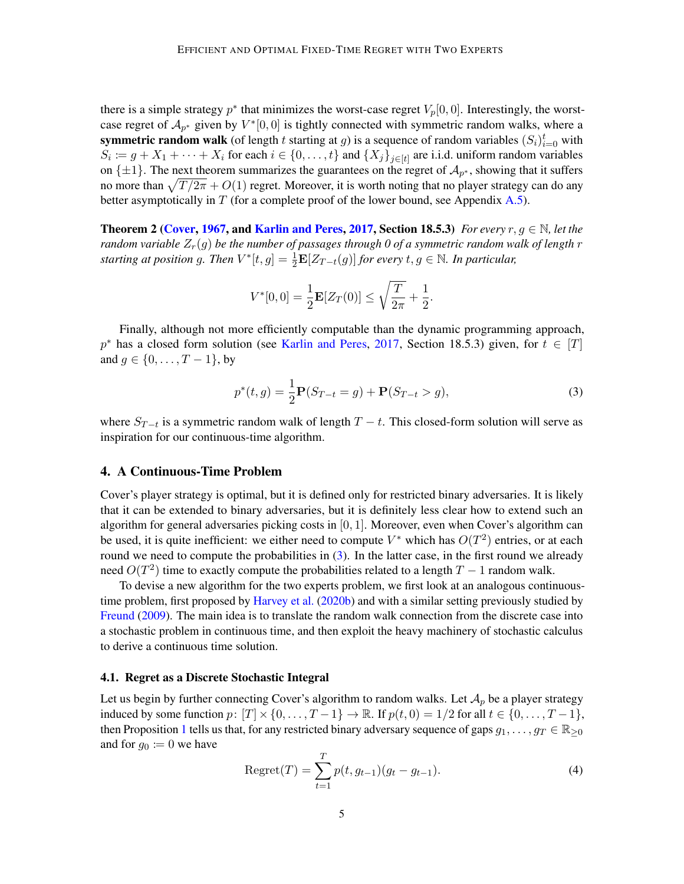there is a simple strategy  $p^*$  that minimizes the worst-case regret  $V_p[0,0]$ . Interestingly, the worstcase regret of  $A_{p^*}$  given by  $V^*[0,0]$  is tightly connected with symmetric random walks, where a **symmetric random walk** (of length t starting at g) is a sequence of random variables  $(S_i)_{i=0}^t$  with  $S_i := g + X_1 + \cdots + X_i$  for each  $i \in \{0, \ldots, t\}$  and  $\{X_j\}_{j \in [t]}$  are i.i.d. uniform random variables on  $\{\pm 1\}$ . The next theorem summarizes the guarantees on the regret of  $\mathcal{A}_{p^*}$ , showing that it suffers no more than  $\sqrt{T / 2\pi} + O(1)$  regret. Moreover, it is worth noting that no player strategy can do any better asymptotically in  $T$  (for a complete proof of the lower bound, see Appendix [A.5\)](#page-19-0).

**Theorem 2 [\(Cover,](#page-13-3) [1967,](#page-13-3) and [Karlin and Peres,](#page-14-2) [2017,](#page-14-2) Section 18.5.3)** *For every*  $r, q \in \mathbb{N}$ , let the *random variable*  $Z_r(g)$  *be the number of passages through 0 of a symmetric random walk of length* r *starting at position g. Then*  $V^*[t, g] = \frac{1}{2} \mathbf{E}[Z_{T-t}(g)]$  *for every*  $t, g \in \mathbb{N}$ *. In particular,* 

$$
V^*[0,0]=\frac{1}{2}\mathbf{E}[Z_T(0)]\leq \sqrt{\frac{T}{2\pi}}+\frac{1}{2}.
$$

Finally, although not more efficiently computable than the dynamic programming approach, p<sup>\*</sup> has a closed form solution (see [Karlin and Peres,](#page-14-2) [2017,](#page-14-2) Section 18.5.3) given, for  $t \in [T]$ and  $g \in \{0, \ldots, T-1\}$ , by

<span id="page-4-1"></span>
$$
p^*(t,g) = \frac{1}{2}\mathbf{P}(S_{T-t} = g) + \mathbf{P}(S_{T-t} > g),\tag{3}
$$

where  $S_{T-t}$  is a symmetric random walk of length  $T-t$ . This closed-form solution will serve as inspiration for our continuous-time algorithm.

#### <span id="page-4-0"></span>4. A Continuous-Time Problem

Cover's player strategy is optimal, but it is defined only for restricted binary adversaries. It is likely that it can be extended to binary adversaries, but it is definitely less clear how to extend such an algorithm for general adversaries picking costs in  $[0, 1]$ . Moreover, even when Cover's algorithm can be used, it is quite inefficient: we either need to compute  $V^*$  which has  $O(T^2)$  entries, or at each round we need to compute the probabilities in [\(3\)](#page-4-1). In the latter case, in the first round we already need  $O(T^2)$  time to exactly compute the probabilities related to a length  $T-1$  random walk.

To devise a new algorithm for the two experts problem, we first look at an analogous continuous-time problem, first proposed by [Harvey et al.](#page-13-6) [\(2020b\)](#page-13-6) and with a similar setting previously studied by [Freund](#page-13-9) [\(2009\)](#page-13-9). The main idea is to translate the random walk connection from the discrete case into a stochastic problem in continuous time, and then exploit the heavy machinery of stochastic calculus to derive a continuous time solution.

#### 4.1. Regret as a Discrete Stochastic Integral

Let us begin by further connecting Cover's algorithm to random walks. Let  $A_p$  be a player strategy induced by some function  $p: [T] \times \{0, \ldots, T-1\} \rightarrow \mathbb{R}$ . If  $p(t, 0) = 1/2$  for all  $t \in \{0, \ldots, T-1\}$ , then Proposition [1](#page-3-1) tells us that, for any restricted binary adversary sequence of gaps  $g_1, \ldots, g_T \in \mathbb{R}_{\geq 0}$ and for  $g_0 \coloneqq 0$  we have

<span id="page-4-2"></span>Regret
$$
(T)
$$
 =  $\sum_{t=1}^{T} p(t, g_{t-1})(g_t - g_{t-1}).$  (4)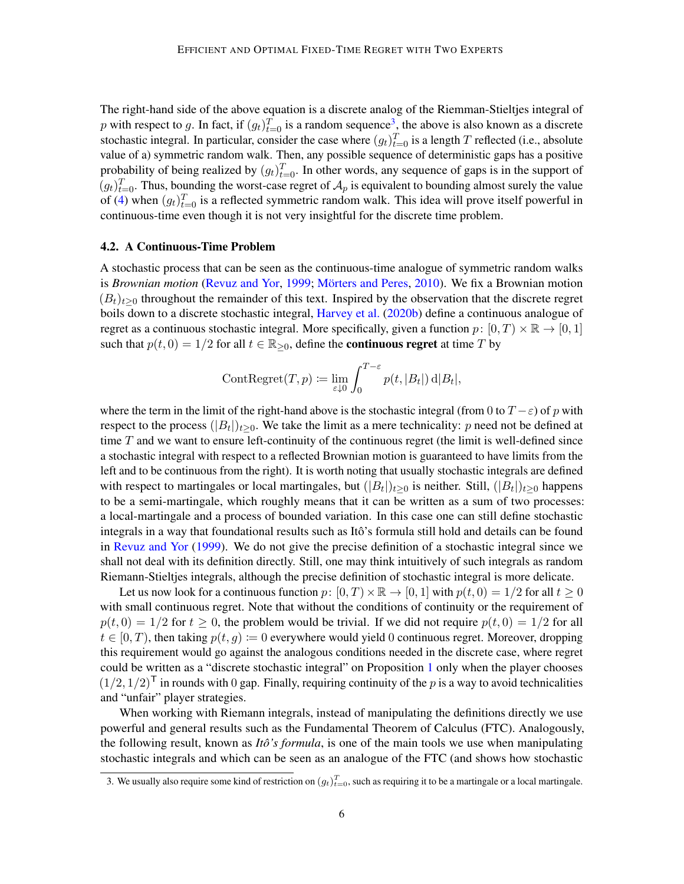The right-hand side of the above equation is a discrete analog of the Riemman-Stieltjes integral of p with respect to g. In fact, if  $(g_t)_{t=0}^T$  is a random sequence<sup>[3](#page-5-0)</sup>, the above is also known as a discrete stochastic integral. In particular, consider the case where  $(g_t)_{t=0}^T$  is a length T reflected (i.e., absolute value of a) symmetric random walk. Then, any possible sequence of deterministic gaps has a positive probability of being realized by  $(g_t)_{t=0}^T$ . In other words, any sequence of gaps is in the support of  $(g_t)_{t=0}^T$ . Thus, bounding the worst-case regret of  $\mathcal{A}_p$  is equivalent to bounding almost surely the value of [\(4\)](#page-4-2) when  $(g_t)_{t=0}^T$  is a reflected symmetric random walk. This idea will prove itself powerful in continuous-time even though it is not very insightful for the discrete time problem.

#### 4.2. A Continuous-Time Problem

A stochastic process that can be seen as the continuous-time analogue of symmetric random walks is *Brownian motion* [\(Revuz and Yor,](#page-14-4) [1999;](#page-14-4) [Mörters and Peres,](#page-14-1) [2010\)](#page-14-1). We fix a Brownian motion  $(B_t)_{t\geq0}$  throughout the remainder of this text. Inspired by the observation that the discrete regret boils down to a discrete stochastic integral, [Harvey et al.](#page-13-6) [\(2020b\)](#page-13-6) define a continuous analogue of regret as a continuous stochastic integral. More specifically, given a function  $p: [0, T) \times \mathbb{R} \to [0, 1]$ such that  $p(t, 0) = 1/2$  for all  $t \in \mathbb{R}_{\geq 0}$ , define the **continuous regret** at time T by

$$
\text{ContRegret}(T, p) := \lim_{\varepsilon \downarrow 0} \int_0^{T-\varepsilon} p(t, |B_t|) \, \mathrm{d}|B_t|,
$$

where the term in the limit of the right-hand above is the stochastic integral (from 0 to  $T - \varepsilon$ ) of p with respect to the process  $(|B_t|)_{t\geq 0}$ . We take the limit as a mere technicality: p need not be defined at time  $T$  and we want to ensure left-continuity of the continuous regret (the limit is well-defined since a stochastic integral with respect to a reflected Brownian motion is guaranteed to have limits from the left and to be continuous from the right). It is worth noting that usually stochastic integrals are defined with respect to martingales or local martingales, but  $(|B_t|)_{t\geq 0}$  is neither. Still,  $(|B_t|)_{t\geq 0}$  happens to be a semi-martingale, which roughly means that it can be written as a sum of two processes: a local-martingale and a process of bounded variation. In this case one can still define stochastic integrals in a way that foundational results such as Itô's formula still hold and details can be found in [Revuz and Yor](#page-14-4) [\(1999\)](#page-14-4). We do not give the precise definition of a stochastic integral since we shall not deal with its definition directly. Still, one may think intuitively of such integrals as random Riemann-Stieltjes integrals, although the precise definition of stochastic integral is more delicate.

Let us now look for a continuous function  $p: [0, T) \times \mathbb{R} \to [0, 1]$  with  $p(t, 0) = 1/2$  for all  $t > 0$ with small continuous regret. Note that without the conditions of continuity or the requirement of  $p(t, 0) = 1/2$  for  $t \ge 0$ , the problem would be trivial. If we did not require  $p(t, 0) = 1/2$  for all  $t \in [0, T)$ , then taking  $p(t, g) := 0$  everywhere would yield 0 continuous regret. Moreover, dropping this requirement would go against the analogous conditions needed in the discrete case, where regret could be written as a "discrete stochastic integral" on Proposition [1](#page-3-1) only when the player chooses  $(1/2, 1/2)$ <sup>T</sup> in rounds with 0 gap. Finally, requiring continuity of the p is a way to avoid technicalities and "unfair" player strategies.

When working with Riemann integrals, instead of manipulating the definitions directly we use powerful and general results such as the Fundamental Theorem of Calculus (FTC). Analogously, the following result, known as *Itô's formula*, is one of the main tools we use when manipulating stochastic integrals and which can be seen as an analogue of the FTC (and shows how stochastic

<span id="page-5-0"></span><sup>3.</sup> We usually also require some kind of restriction on  $(g_t)_{t=0}^T$ , such as requiring it to be a martingale or a local martingale.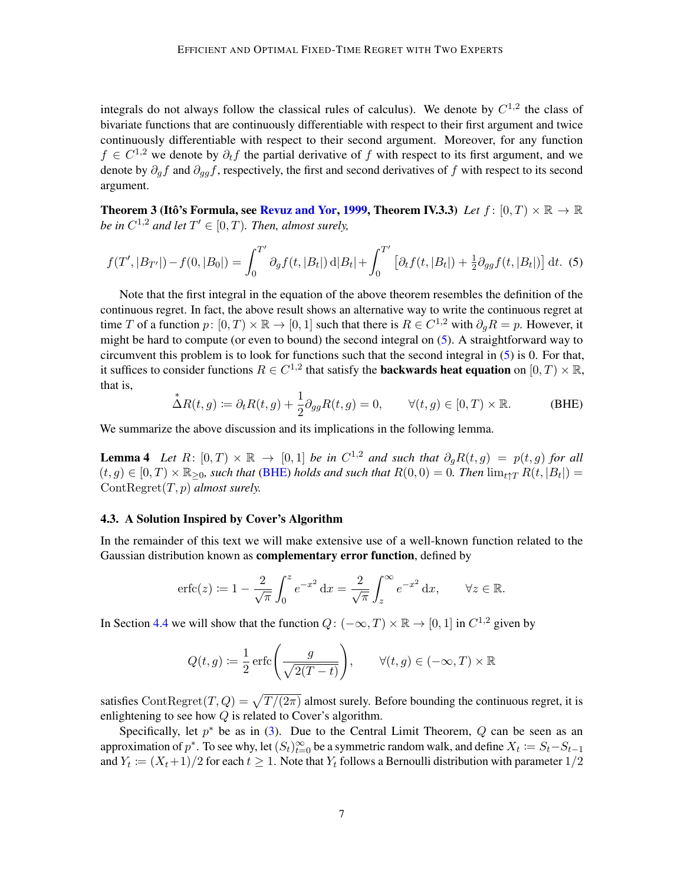integrals do not always follow the classical rules of calculus). We denote by  $C^{1,2}$  the class of bivariate functions that are continuously differentiable with respect to their first argument and twice continuously differentiable with respect to their second argument. Moreover, for any function  $f \in C^{1,2}$  we denote by  $\partial_t f$  the partial derivative of f with respect to its first argument, and we denote by  $\partial_q f$  and  $\partial_{q} f$ , respectively, the first and second derivatives of f with respect to its second argument.

**Theorem 3 (Itô's Formula, see [Revuz and Yor,](#page-14-4) [1999,](#page-14-4) Theorem IV.3.3)** Let  $f: [0, T) \times \mathbb{R} \to \mathbb{R}$ *be in*  $C^{1,2}$  *and let*  $T' \in [0, T)$ *. Then, almost surely,* 

<span id="page-6-0"></span>
$$
f(T',|B_{T'}|) - f(0,|B_0|) = \int_0^{T'} \partial_g f(t,|B_t|) \, d|B_t| + \int_0^{T'} \left[ \partial_t f(t,|B_t|) + \frac{1}{2} \partial_{gg} f(t,|B_t|) \right] dt. \tag{5}
$$

Note that the first integral in the equation of the above theorem resembles the definition of the continuous regret. In fact, the above result shows an alternative way to write the continuous regret at time T of a function  $p: [0, T) \times \mathbb{R} \to [0, 1]$  such that there is  $R \in C^{1, 2}$  with  $\partial_q R = p$ . However, it might be hard to compute (or even to bound) the second integral on [\(5\)](#page-6-0). A straightforward way to circumvent this problem is to look for functions such that the second integral in [\(5\)](#page-6-0) is 0. For that, it suffices to consider functions  $R \in C^{1,2}$  that satisfy the **backwards heat equation** on  $[0, T) \times \mathbb{R}$ , that is,

<span id="page-6-3"></span><span id="page-6-1"></span>
$$
\stackrel{*}{\Delta}R(t,g) := \partial_t R(t,g) + \frac{1}{2} \partial_{gg} R(t,g) = 0, \qquad \forall (t,g) \in [0,T) \times \mathbb{R}.
$$
 (BHE)

<span id="page-6-2"></span>We summarize the above discussion and its implications in the following lemma.

**Lemma 4** *Let*  $R: [0, T) \times \mathbb{R} \rightarrow [0, 1]$  *be in*  $C^{1,2}$  *and such that*  $\partial_g R(t,g) = p(t,g)$  *for all*  $(t, g) \in [0, T) \times \mathbb{R}_{\geq 0}$ , such that [\(BHE\)](#page-6-1) holds and such that  $R(0, 0) = 0$ . Then  $\lim_{t \uparrow T} R(t, |B_t|) = 0$ ContRegret(T, p) *almost surely.*

#### 4.3. A Solution Inspired by Cover's Algorithm

In the remainder of this text we will make extensive use of a well-known function related to the Gaussian distribution known as complementary error function, defined by

$$
\text{erfc}(z) \coloneqq 1 - \frac{2}{\sqrt{\pi}} \int_0^z e^{-x^2} \, \mathrm{d}x = \frac{2}{\sqrt{\pi}} \int_z^{\infty} e^{-x^2} \, \mathrm{d}x, \qquad \forall z \in \mathbb{R}.
$$

In Section [4.4](#page-7-0) we will show that the function  $Q: (-\infty, T) \times \mathbb{R} \to [0, 1]$  in  $C^{1,2}$  given by

$$
Q(t,g) \coloneqq \frac{1}{2} \operatorname{erfc}\left(\frac{g}{\sqrt{2(T-t)}}\right), \qquad \forall (t,g) \in (-\infty, T) \times \mathbb{R}
$$

satisfies  $\text{ContRegret}(T, Q) = \sqrt{T/(2\pi)}$  almost surely. Before bounding the continuous regret, it is enlightening to see how Q is related to Cover's algorithm.

Specifically, let  $p^*$  be as in [\(3\)](#page-4-1). Due to the Central Limit Theorem,  $Q$  can be seen as an approximation of  $p^*$ . To see why, let  $(S_t)_{t=0}^{\infty}$  be a symmetric random walk, and define  $X_t := S_t - S_{t-1}$ and  $Y_t \coloneqq (X_t+1)/2$  for each  $t \geq 1$ . Note that  $Y_t$  follows a Bernoulli distribution with parameter  $1/2$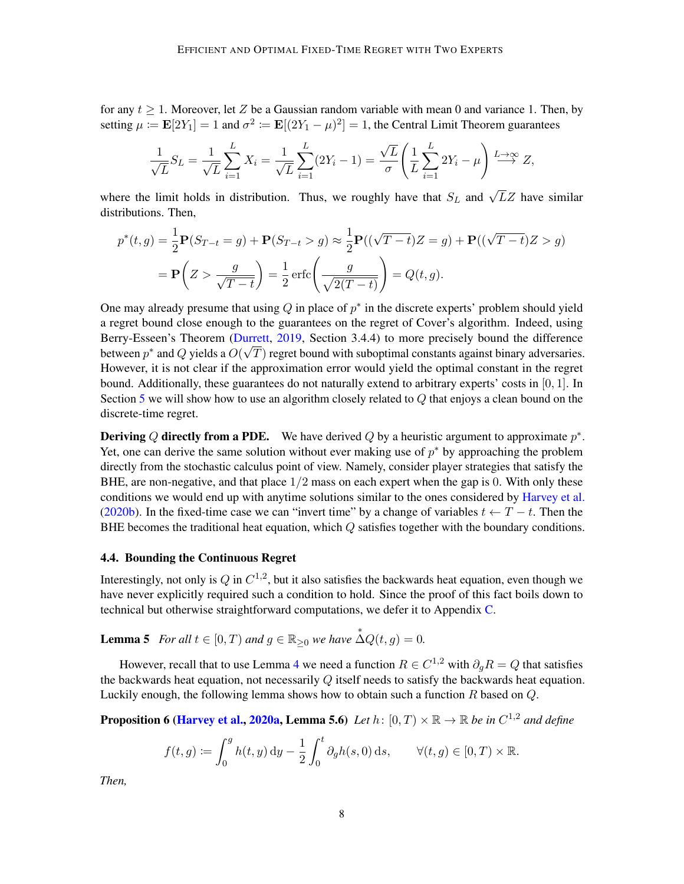for any  $t \geq 1$ . Moreover, let Z be a Gaussian random variable with mean 0 and variance 1. Then, by setting  $\mu := \mathbf{E}[2Y_1] = 1$  and  $\sigma^2 := \mathbf{E}[(2Y_1 - \mu)^2] = 1$ , the Central Limit Theorem guarantees

$$
\frac{1}{\sqrt{L}}S_L = \frac{1}{\sqrt{L}}\sum_{i=1}^L X_i = \frac{1}{\sqrt{L}}\sum_{i=1}^L (2Y_i - 1) = \frac{\sqrt{L}}{\sigma} \left(\frac{1}{L}\sum_{i=1}^L 2Y_i - \mu\right) \stackrel{L \to \infty}{\longrightarrow} Z,
$$

where the limit holds in distribution. Thus, we roughly have that  $S_L$  and  $\sqrt{L}Z$  have similar distributions. Then,

$$
p^*(t,g) = \frac{1}{2}\mathbf{P}(S_{T-t} = g) + \mathbf{P}(S_{T-t} > g) \approx \frac{1}{2}\mathbf{P}((\sqrt{T-t})Z = g) + \mathbf{P}((\sqrt{T-t})Z > g)
$$

$$
= \mathbf{P}\left(Z > \frac{g}{\sqrt{T-t}}\right) = \frac{1}{2}\operatorname{erfc}\left(\frac{g}{\sqrt{2(T-t)}}\right) = Q(t,g).
$$

One may already presume that using Q in place of  $p^*$  in the discrete experts' problem should yield a regret bound close enough to the guarantees on the regret of Cover's algorithm. Indeed, using Berry-Esseen's Theorem [\(Durrett,](#page-13-10) [2019,](#page-13-10) Section 3.4.4) to more precisely bound the difference between  $p^*$  and  $Q$  yields a  $O(\sqrt{T})$  regret bound with suboptimal constants against binary adversaries. However, it is not clear if the approximation error would yield the optimal constant in the regret bound. Additionally, these guarantees do not naturally extend to arbitrary experts' costs in  $[0, 1]$ . In Section [5](#page-9-0) we will show how to use an algorithm closely related to Q that enjoys a clean bound on the discrete-time regret.

**Deriving Q directly from a PDE.** We have derived Q by a heuristic argument to approximate  $p^*$ . Yet, one can derive the same solution without ever making use of  $p^*$  by approaching the problem directly from the stochastic calculus point of view. Namely, consider player strategies that satisfy the BHE, are non-negative, and that place  $1/2$  mass on each expert when the gap is 0. With only these conditions we would end up with anytime solutions similar to the ones considered by [Harvey et al.](#page-13-6) [\(2020b\)](#page-13-6). In the fixed-time case we can "invert time" by a change of variables  $t \leftarrow T - t$ . Then the BHE becomes the traditional heat equation, which  $Q$  satisfies together with the boundary conditions.

#### <span id="page-7-0"></span>4.4. Bounding the Continuous Regret

Interestingly, not only is Q in  $C^{1,2}$ , but it also satisfies the backwards heat equation, even though we have never explicitly required such a condition to hold. Since the proof of this fact boils down to technical but otherwise straightforward computations, we defer it to Appendix [C.](#page-22-0)

**Lemma 5** For all  $t \in [0, T)$  and  $g \in \mathbb{R}_{\geq 0}$  we have  $\stackrel{*}{\Delta}Q(t, g) = 0$ .

However, recall that to use Lemma [4](#page-6-2) we need a function  $R \in C^{1,2}$  with  $\partial_g R = Q$  that satisfies the backwards heat equation, not necessarily Q itself needs to satisfy the backwards heat equation. Luckily enough, the following lemma shows how to obtain such a function  $R$  based on  $Q$ .

**Proposition 6 [\(Harvey et al.,](#page-13-8) [2020a,](#page-13-8) Lemma 5.6)** Let  $h: [0, T) \times \mathbb{R} \to \mathbb{R}$  be in  $C^{1,2}$  and define

$$
f(t,g) := \int_0^g h(t,y) dy - \frac{1}{2} \int_0^t \partial_g h(s,0) ds, \qquad \forall (t,g) \in [0,T) \times \mathbb{R}.
$$

*Then,*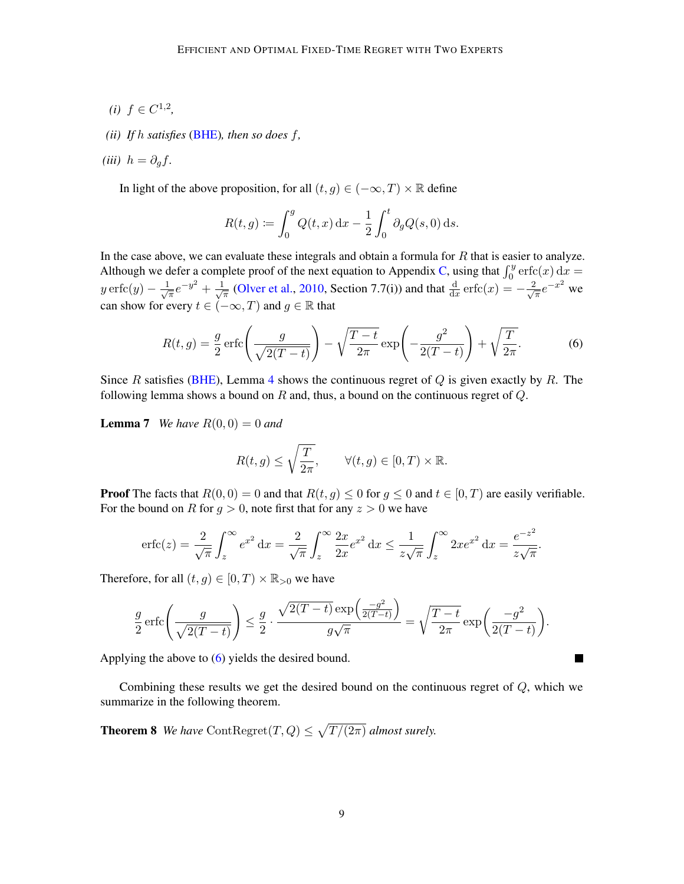- *(i) f* ∈  $C^{1,2}$ *,*
- *(ii) If* h *satisfies* [\(BHE\)](#page-6-1)*, then so does* f*,*

$$
(iii) h = \partial_g f.
$$

In light of the above proposition, for all  $(t, g) \in (-\infty, T) \times \mathbb{R}$  define

$$
R(t,g) := \int_0^g Q(t,x) \, dx - \frac{1}{2} \int_0^t \partial_g Q(s,0) \, ds.
$$

In the case above, we can evaluate these integrals and obtain a formula for  $R$  that is easier to analyze. Although we defer a complete proof of the next equation to Appendix [C,](#page-22-0) using that  $\int_0^y \text{erfc}(x) dx =$  $y\operatorname{erfc}(y)-\frac{1}{4}$  $\frac{1}{\pi}e^{-y^2}+\frac{1}{\sqrt{2}}$  $\frac{1}{\pi}$  [\(Olver et al.,](#page-14-5) [2010,](#page-14-5) Section 7.7(i)) and that  $\frac{d}{dx}$  erfc $(x) = -\frac{2}{\sqrt{x}}$  $\frac{e}{\overline{\pi}}e^{-x^2}$  we can show for every  $t \in (-\infty, T)$  and  $g \in \mathbb{R}$  that

$$
R(t,g) = \frac{g}{2} \operatorname{erfc}\left(\frac{g}{\sqrt{2(T-t)}}\right) - \sqrt{\frac{T-t}{2\pi}} \exp\left(-\frac{g^2}{2(T-t)}\right) + \sqrt{\frac{T}{2\pi}}.\tag{6}
$$

Since R satisfies [\(BHE\)](#page-6-1), Lemma [4](#page-6-2) shows the continuous regret of  $Q$  is given exactly by R. The following lemma shows a bound on  $R$  and, thus, a bound on the continuous regret of  $Q$ .

<span id="page-8-0"></span>**Lemma 7** *We have*  $R(0,0) = 0$  *and* 

$$
R(t,g)\leq \sqrt{\frac{T}{2\pi}},\qquad \forall (t,g)\in [0,T)\times \mathbb{R}.
$$

**Proof** The facts that  $R(0, 0) = 0$  and that  $R(t, g) \le 0$  for  $g \le 0$  and  $t \in [0, T)$  are easily verifiable. For the bound on R for  $g > 0$ , note first that for any  $z > 0$  we have

$$
\text{erfc}(z) = \frac{2}{\sqrt{\pi}} \int_z^{\infty} e^{x^2} dx = \frac{2}{\sqrt{\pi}} \int_z^{\infty} \frac{2x}{2x} e^{x^2} dx \le \frac{1}{z\sqrt{\pi}} \int_z^{\infty} 2xe^{x^2} dx = \frac{e^{-z^2}}{z\sqrt{\pi}}.
$$

Therefore, for all  $(t, g) \in [0, T) \times \mathbb{R}_{>0}$  we have

$$
\frac{g}{2}\operatorname{erfc}\left(\frac{g}{\sqrt{2(T-t)}}\right) \le \frac{g}{2} \cdot \frac{\sqrt{2(T-t)}\exp\left(\frac{-g^2}{2(T-t)}\right)}{g\sqrt{\pi}} = \sqrt{\frac{T-t}{2\pi}}\exp\left(\frac{-g^2}{2(T-t)}\right).
$$

 $\blacksquare$ 

Applying the above to [\(6\)](#page-6-3) yields the desired bound.

Combining these results we get the desired bound on the continuous regret of Q, which we summarize in the following theorem.

**Theorem 8** We have Cont $\text{Regret}(T, Q) \leq \sqrt{T/(2\pi)}$  almost surely.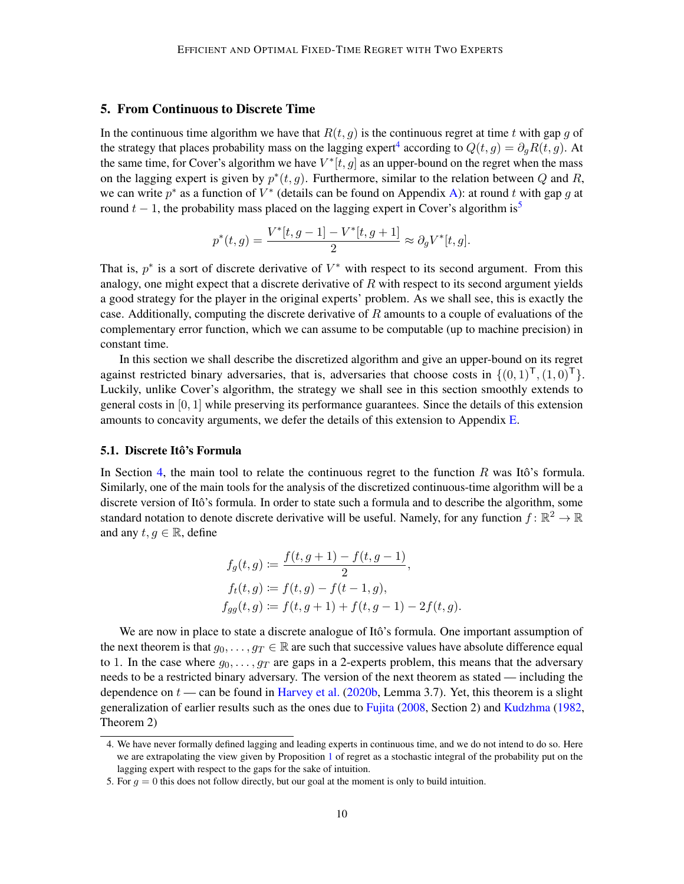### <span id="page-9-0"></span>5. From Continuous to Discrete Time

In the continuous time algorithm we have that  $R(t, q)$  is the continuous regret at time t with gap q of the strategy that places probability mass on the lagging expert<sup>[4](#page-9-1)</sup> according to  $Q(t, g) = \partial_g R(t, g)$ . At the same time, for Cover's algorithm we have  $V^*[t, g]$  as an upper-bound on the regret when the mass on the lagging expert is given by  $p^*(t, g)$ . Furthermore, similar to the relation between Q and R, we can write  $p^*$  as a function of  $V^*$  (details can be found on Appendix [A\)](#page-14-3): at round t with gap g at round  $t - 1$ , the probability mass placed on the lagging expert in Cover's algorithm is<sup>[5](#page-9-2)</sup>

$$
p^*(t,g) = \frac{V^*[t,g-1] - V^*[t,g+1]}{2} \approx \partial_g V^*[t,g].
$$

That is,  $p^*$  is a sort of discrete derivative of  $V^*$  with respect to its second argument. From this analogy, one might expect that a discrete derivative of  $R$  with respect to its second argument yields a good strategy for the player in the original experts' problem. As we shall see, this is exactly the case. Additionally, computing the discrete derivative of  $R$  amounts to a couple of evaluations of the complementary error function, which we can assume to be computable (up to machine precision) in constant time.

In this section we shall describe the discretized algorithm and give an upper-bound on its regret against restricted binary adversaries, that is, adversaries that choose costs in  $\{(0, 1)^{\mathsf{T}}, (1, 0)^{\mathsf{T}}\}$ . Luckily, unlike Cover's algorithm, the strategy we shall see in this section smoothly extends to general costs in [0, 1] while preserving its performance guarantees. Since the details of this extension amounts to concavity arguments, we defer the details of this extension to Appendix [E.](#page-26-0)

#### 5.1. Discrete Itô's Formula

In Section [4,](#page-4-0) the main tool to relate the continuous regret to the function  $R$  was Itô's formula. Similarly, one of the main tools for the analysis of the discretized continuous-time algorithm will be a discrete version of Itô's formula. In order to state such a formula and to describe the algorithm, some standard notation to denote discrete derivative will be useful. Namely, for any function  $f: \mathbb{R}^2 \to \mathbb{R}$ and any  $t, g \in \mathbb{R}$ , define

$$
f_g(t,g) := \frac{f(t,g+1) - f(t,g-1)}{2},
$$
  
\n
$$
f_t(t,g) := f(t,g) - f(t-1,g),
$$
  
\n
$$
f_{gg}(t,g) := f(t,g+1) + f(t,g-1) - 2f(t,g).
$$

We are now in place to state a discrete analogue of Itô's formula. One important assumption of the next theorem is that  $g_0, \ldots, g_T \in \mathbb{R}$  are such that successive values have absolute difference equal to 1. In the case where  $g_0, \ldots, g_T$  are gaps in a 2-experts problem, this means that the adversary needs to be a restricted binary adversary. The version of the next theorem as stated — including the dependence on  $t$  — can be found in [Harvey et al.](#page-13-6) [\(2020b,](#page-13-6) Lemma 3.7). Yet, this theorem is a slight generalization of earlier results such as the ones due to [Fujita](#page-13-11) [\(2008,](#page-13-11) Section 2) and [Kudzhma](#page-14-6) [\(1982,](#page-14-6) Theorem 2)

<span id="page-9-3"></span><span id="page-9-1"></span><sup>4.</sup> We have never formally defined lagging and leading experts in continuous time, and we do not intend to do so. Here we are extrapolating the view given by Proposition [1](#page-3-1) of regret as a stochastic integral of the probability put on the lagging expert with respect to the gaps for the sake of intuition.

<span id="page-9-2"></span><sup>5.</sup> For  $q = 0$  this does not follow directly, but our goal at the moment is only to build intuition.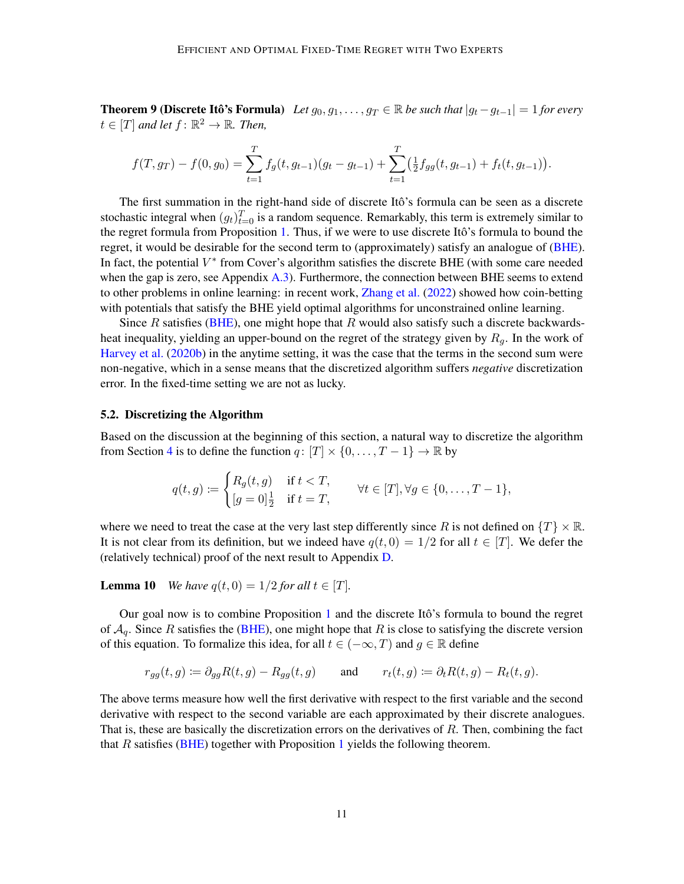**Theorem 9 (Discrete Itô's Formula)** *Let*  $g_0, g_1, \ldots, g_T \in \mathbb{R}$  *be such that*  $|g_t - g_{t-1}| = 1$  *for every*  $t \in [T]$  and let  $f: \mathbb{R}^2 \to \mathbb{R}$ . Then,

$$
f(T, g_T) - f(0, g_0) = \sum_{t=1}^T f_g(t, g_{t-1})(g_t - g_{t-1}) + \sum_{t=1}^T \left(\frac{1}{2} f_{gg}(t, g_{t-1}) + f_t(t, g_{t-1})\right).
$$

The first summation in the right-hand side of discrete Itô's formula can be seen as a discrete stochastic integral when  $(g_t)_{t=0}^T$  is a random sequence. Remarkably, this term is extremely similar to the regret formula from Proposition [1.](#page-3-1) Thus, if we were to use discrete Itô's formula to bound the regret, it would be desirable for the second term to (approximately) satisfy an analogue of [\(BHE\)](#page-6-1). In fact, the potential  $V^*$  from Cover's algorithm satisfies the discrete BHE (with some care needed when the gap is zero, see Appendix  $A.3$ ). Furthermore, the connection between BHE seems to extend to other problems in online learning: in recent work, [Zhang et al.](#page-14-7) [\(2022\)](#page-14-7) showed how coin-betting with potentials that satisfy the BHE yield optimal algorithms for unconstrained online learning.

Since  $R$  satisfies [\(BHE\)](#page-6-1), one might hope that  $R$  would also satisfy such a discrete backwardsheat inequality, yielding an upper-bound on the regret of the strategy given by  $R<sub>g</sub>$ . In the work of [Harvey et al.](#page-13-6) [\(2020b\)](#page-13-6) in the anytime setting, it was the case that the terms in the second sum were non-negative, which in a sense means that the discretized algorithm suffers *negative* discretization error. In the fixed-time setting we are not as lucky.

#### 5.2. Discretizing the Algorithm

Based on the discussion at the beginning of this section, a natural way to discretize the algorithm from Section [4](#page-4-0) is to define the function  $q: [T] \times \{0, \ldots, T-1\} \to \mathbb{R}$  by

$$
q(t,g) \coloneqq \begin{cases} R_g(t,g) & \text{if } t < T, \\ \left[g=0\right]_2^1 & \text{if } t = T, \end{cases} \quad \forall t \in [T], \forall g \in \{0,\ldots,T-1\},
$$

where we need to treat the case at the very last step differently since R is not defined on  $\{T\}\times\mathbb{R}$ . It is not clear from its definition, but we indeed have  $q(t, 0) = 1/2$  for all  $t \in [T]$ . We defer the (relatively technical) proof of the next result to Appendix [D.](#page-23-0)

#### <span id="page-10-0"></span>**Lemma 10** *We have*  $q(t, 0) = 1/2$  *for all*  $t \in [T]$ *.*

Our goal now is to combine Proposition [1](#page-3-1) and the discrete Itô's formula to bound the regret of  $A<sub>q</sub>$ . Since R satisfies the [\(BHE\)](#page-6-1), one might hope that R is close to satisfying the discrete version of this equation. To formalize this idea, for all  $t \in (-\infty, T)$  and  $g \in \mathbb{R}$  define

$$
r_{gg}(t,g) \coloneqq \partial_{gg} R(t,g) - R_{gg}(t,g) \quad \text{and} \quad r_t(t,g) \coloneqq \partial_t R(t,g) - R_t(t,g).
$$

<span id="page-10-1"></span>The above terms measure how well the first derivative with respect to the first variable and the second derivative with respect to the second variable are each approximated by their discrete analogues. That is, these are basically the discretization errors on the derivatives of  $R$ . Then, combining the fact that R satisfies [\(BHE\)](#page-6-1) together with Proposition [1](#page-3-1) yields the following theorem.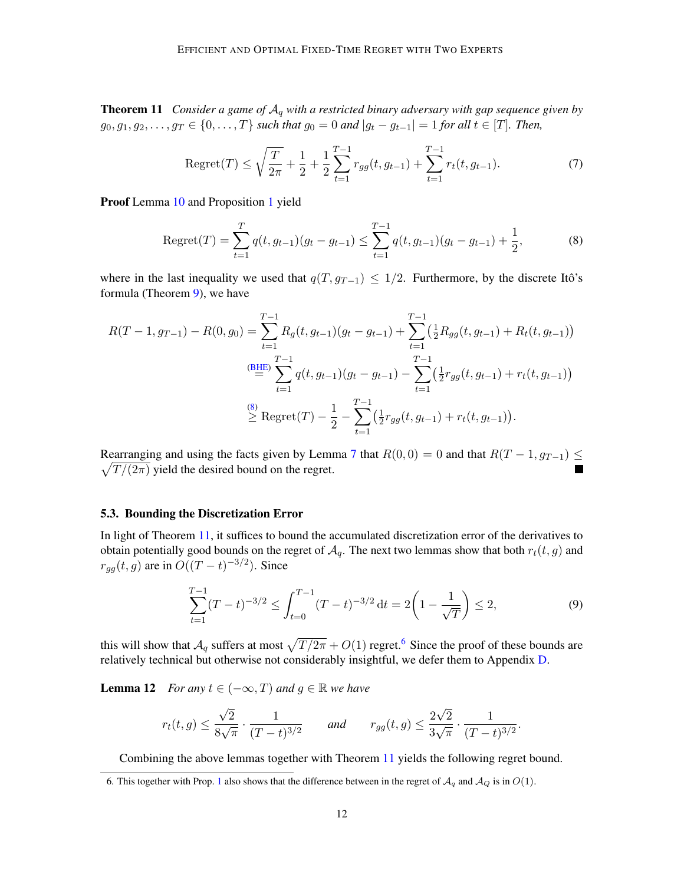Theorem 11 *Consider a game of* A<sup>q</sup> *with a restricted binary adversary with gap sequence given by*  $g_0, g_1, g_2, \ldots, g_T \in \{0, \ldots, T\}$  *such that*  $g_0 = 0$  *and*  $|g_t - g_{t-1}| = 1$  *for all*  $t \in [T]$ *. Then,* 

Regret
$$
(T)
$$
  $\leq \sqrt{\frac{T}{2\pi}} + \frac{1}{2} + \frac{1}{2} \sum_{t=1}^{T-1} r_{gg}(t, g_{t-1}) + \sum_{t=1}^{T-1} r_t(t, g_{t-1}).$  (7)

Proof Lemma [10](#page-10-0) and Proposition [1](#page-3-1) yield

<span id="page-11-0"></span>Regret
$$
(T)
$$
 =  $\sum_{t=1}^{T} q(t, g_{t-1})(g_t - g_{t-1}) \le \sum_{t=1}^{T-1} q(t, g_{t-1})(g_t - g_{t-1}) + \frac{1}{2},$  (8)

where in the last inequality we used that  $q(T, g_{T-1}) \leq 1/2$ . Furthermore, by the discrete Itô's formula (Theorem [9\)](#page-9-3), we have

$$
R(T-1, g_{T-1}) - R(0, g_0) = \sum_{t=1}^{T-1} R_g(t, g_{t-1})(g_t - g_{t-1}) + \sum_{t=1}^{T-1} \left(\frac{1}{2} R_{gg}(t, g_{t-1}) + R_t(t, g_{t-1})\right)
$$
  
\n
$$
\stackrel{\text{(BHE)}}{=} \sum_{t=1}^{T-1} q(t, g_{t-1})(g_t - g_{t-1}) - \sum_{t=1}^{T-1} \left(\frac{1}{2} r_{gg}(t, g_{t-1}) + r_t(t, g_{t-1})\right)
$$
  
\n
$$
\stackrel{\text{(8)}}{\geq} \text{Regret}(T) - \frac{1}{2} - \sum_{t=1}^{T-1} \left(\frac{1}{2} r_{gg}(t, g_{t-1}) + r_t(t, g_{t-1})\right).
$$

Rearranging and using the facts given by Lemma [7](#page-8-0) that  $R(0,0) = 0$  and that  $R(T-1, g_{T-1}) \leq$  $\sqrt{T/(2\pi)}$  yield the desired bound on the regret.

### 5.3. Bounding the Discretization Error

In light of Theorem [11,](#page-10-1) it suffices to bound the accumulated discretization error of the derivatives to obtain potentially good bounds on the regret of  $A_q$ . The next two lemmas show that both  $r_t(t, g)$  and  $r_{gg}(t, g)$  are in  $O((T-t)^{-3/2})$ . Since

<span id="page-11-3"></span>
$$
\sum_{t=1}^{T-1} (T-t)^{-3/2} \le \int_{t=0}^{T-1} (T-t)^{-3/2} dt = 2\left(1 - \frac{1}{\sqrt{T}}\right) \le 2,
$$
\n(9)

this will show that  $\mathcal{A}_q$  suffers at most  $\sqrt{T / 2\pi} + O(1)$  regret.<sup>[6](#page-11-1)</sup> Since the proof of these bounds are relatively technical but otherwise not considerably insightful, we defer them to Appendix [D.](#page-23-0)

<span id="page-11-2"></span>**Lemma 12** *For any*  $t \in (-\infty, T)$  *and*  $g \in \mathbb{R}$  *we have* 

$$
r_t(t,g) \le \frac{\sqrt{2}}{8\sqrt{\pi}} \cdot \frac{1}{(T-t)^{3/2}}
$$
 and  $r_{gg}(t,g) \le \frac{2\sqrt{2}}{3\sqrt{\pi}} \cdot \frac{1}{(T-t)^{3/2}}$ .

Combining the above lemmas together with Theorem [11](#page-10-1) yields the following regret bound.

<span id="page-11-4"></span><span id="page-11-1"></span><sup>6.</sup> This together with Prop. [1](#page-3-1) also shows that the difference between in the regret of  $A_q$  and  $A_Q$  is in  $O(1)$ .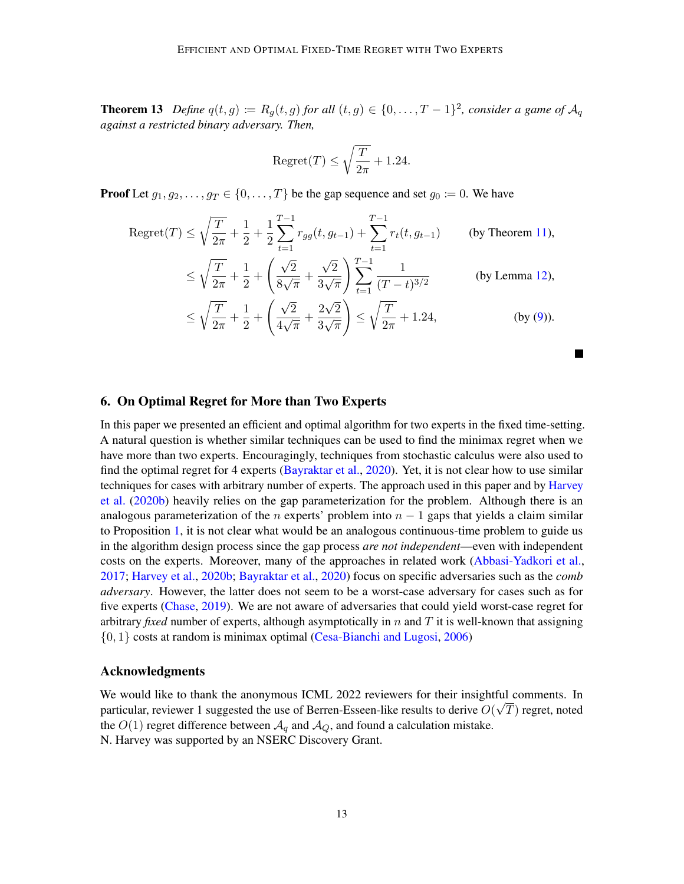**Theorem 13** Define  $q(t, g) \coloneqq R_g(t, g)$  for all  $(t, g) \in \{0, \ldots, T-1\}^2$ , consider a game of  $\mathcal{A}_q$ *against a restricted binary adversary. Then,*

$$
\mathrm{Regret}(T) \le \sqrt{\frac{T}{2\pi}} + 1.24.
$$

**Proof** Let  $g_1, g_2, \ldots, g_T \in \{0, \ldots, T\}$  be the gap sequence and set  $g_0 := 0$ . We have

Regret
$$
(T)
$$
  $\leq \sqrt{\frac{T}{2\pi}} + \frac{1}{2} + \frac{1}{2} \sum_{t=1}^{T-1} r_{gg}(t, g_{t-1}) + \sum_{t=1}^{T-1} r_t(t, g_{t-1})$  (by Theorem 11),  
\n $\leq \sqrt{\frac{T}{2\pi}} + \frac{1}{2} + \left(\frac{\sqrt{2}}{8\sqrt{\pi}} + \frac{\sqrt{2}}{3\sqrt{\pi}}\right) \sum_{t=1}^{T-1} \frac{1}{(T-t)^{3/2}}$  (by Lemma 12),  
\n $\sqrt{T}$  1  $\left(\sqrt{2} - 2\sqrt{2}\right)$   $\sqrt{T}$ 

$$
\leq \sqrt{\frac{T}{2\pi}} + \frac{1}{2} + \left(\frac{\sqrt{2}}{4\sqrt{\pi}} + \frac{2\sqrt{2}}{3\sqrt{\pi}}\right) \leq \sqrt{\frac{T}{2\pi}} + 1.24,
$$
 (by (9)).

 $\blacksquare$ 

### 6. On Optimal Regret for More than Two Experts

In this paper we presented an efficient and optimal algorithm for two experts in the fixed time-setting. A natural question is whether similar techniques can be used to find the minimax regret when we have more than two experts. Encouragingly, techniques from stochastic calculus were also used to find the optimal regret for 4 experts [\(Bayraktar et al.,](#page-13-5) [2020\)](#page-13-5). Yet, it is not clear how to use similar techniques for cases with arbitrary number of experts. The approach used in this paper and by [Harvey](#page-13-6) [et al.](#page-13-6) [\(2020b\)](#page-13-6) heavily relies on the gap parameterization for the problem. Although there is an analogous parameterization of the n experts' problem into  $n - 1$  gaps that yields a claim similar to Proposition [1,](#page-3-1) it is not clear what would be an analogous continuous-time problem to guide us in the algorithm design process since the gap process *are not independent*—even with independent costs on the experts. Moreover, many of the approaches in related work [\(Abbasi-Yadkori et al.,](#page-13-4) [2017;](#page-13-4) [Harvey et al.,](#page-13-6) [2020b;](#page-13-6) [Bayraktar et al.,](#page-13-5) [2020\)](#page-13-5) focus on specific adversaries such as the *comb adversary*. However, the latter does not seem to be a worst-case adversary for cases such as for five experts [\(Chase,](#page-13-12) [2019\)](#page-13-12). We are not aware of adversaries that could yield worst-case regret for arbitrary *fixed* number of experts, although asymptotically in  $n$  and  $T$  it is well-known that assigning {0, 1} costs at random is minimax optimal [\(Cesa-Bianchi and Lugosi,](#page-13-13) [2006\)](#page-13-13)

#### Acknowledgments

We would like to thank the anonymous ICML 2022 reviewers for their insightful comments. In particular, reviewer 1 suggested the use of Berren-Esseen-like results to derive  $O(\sqrt{T})$  regret, noted the  $O(1)$  regret difference between  $A_q$  and  $A_Q$ , and found a calculation mistake. N. Harvey was supported by an NSERC Discovery Grant.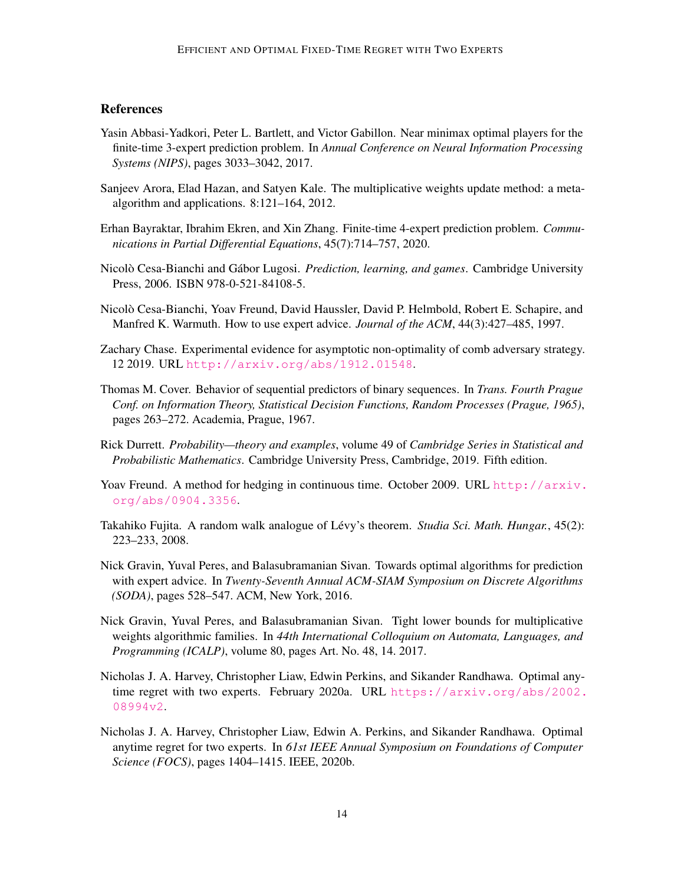## **References**

- <span id="page-13-4"></span>Yasin Abbasi-Yadkori, Peter L. Bartlett, and Victor Gabillon. Near minimax optimal players for the finite-time 3-expert prediction problem. In *Annual Conference on Neural Information Processing Systems (NIPS)*, pages 3033–3042, 2017.
- <span id="page-13-0"></span>Sanjeev Arora, Elad Hazan, and Satyen Kale. The multiplicative weights update method: a metaalgorithm and applications. 8:121–164, 2012.
- <span id="page-13-5"></span>Erhan Bayraktar, Ibrahim Ekren, and Xin Zhang. Finite-time 4-expert prediction problem. *Communications in Partial Differential Equations*, 45(7):714–757, 2020.
- <span id="page-13-13"></span>Nicolò Cesa-Bianchi and Gábor Lugosi. *Prediction, learning, and games*. Cambridge University Press, 2006. ISBN 978-0-521-84108-5.
- <span id="page-13-1"></span>Nicolò Cesa-Bianchi, Yoav Freund, David Haussler, David P. Helmbold, Robert E. Schapire, and Manfred K. Warmuth. How to use expert advice. *Journal of the ACM*, 44(3):427–485, 1997.
- <span id="page-13-12"></span>Zachary Chase. Experimental evidence for asymptotic non-optimality of comb adversary strategy. 12 2019. URL <http://arxiv.org/abs/1912.01548>.
- <span id="page-13-3"></span>Thomas M. Cover. Behavior of sequential predictors of binary sequences. In *Trans. Fourth Prague Conf. on Information Theory, Statistical Decision Functions, Random Processes (Prague, 1965)*, pages 263–272. Academia, Prague, 1967.
- <span id="page-13-10"></span>Rick Durrett. *Probability—theory and examples*, volume 49 of *Cambridge Series in Statistical and Probabilistic Mathematics*. Cambridge University Press, Cambridge, 2019. Fifth edition.
- <span id="page-13-9"></span>Yoav Freund. A method for hedging in continuous time. October 2009. URL [http://arxiv.](http://arxiv.org/abs/0904.3356) [org/abs/0904.3356](http://arxiv.org/abs/0904.3356).
- <span id="page-13-11"></span>Takahiko Fujita. A random walk analogue of Lévy's theorem. *Studia Sci. Math. Hungar.*, 45(2): 223–233, 2008.
- <span id="page-13-7"></span>Nick Gravin, Yuval Peres, and Balasubramanian Sivan. Towards optimal algorithms for prediction with expert advice. In *Twenty-Seventh Annual ACM-SIAM Symposium on Discrete Algorithms (SODA)*, pages 528–547. ACM, New York, 2016.
- <span id="page-13-2"></span>Nick Gravin, Yuval Peres, and Balasubramanian Sivan. Tight lower bounds for multiplicative weights algorithmic families. In *44th International Colloquium on Automata, Languages, and Programming (ICALP)*, volume 80, pages Art. No. 48, 14. 2017.
- <span id="page-13-8"></span>Nicholas J. A. Harvey, Christopher Liaw, Edwin Perkins, and Sikander Randhawa. Optimal anytime regret with two experts. February 2020a. URL [https://arxiv.org/abs/2002.](https://arxiv.org/abs/2002.08994v2) [08994v2](https://arxiv.org/abs/2002.08994v2).
- <span id="page-13-6"></span>Nicholas J. A. Harvey, Christopher Liaw, Edwin A. Perkins, and Sikander Randhawa. Optimal anytime regret for two experts. In *61st IEEE Annual Symposium on Foundations of Computer Science (FOCS)*, pages 1404–1415. IEEE, 2020b.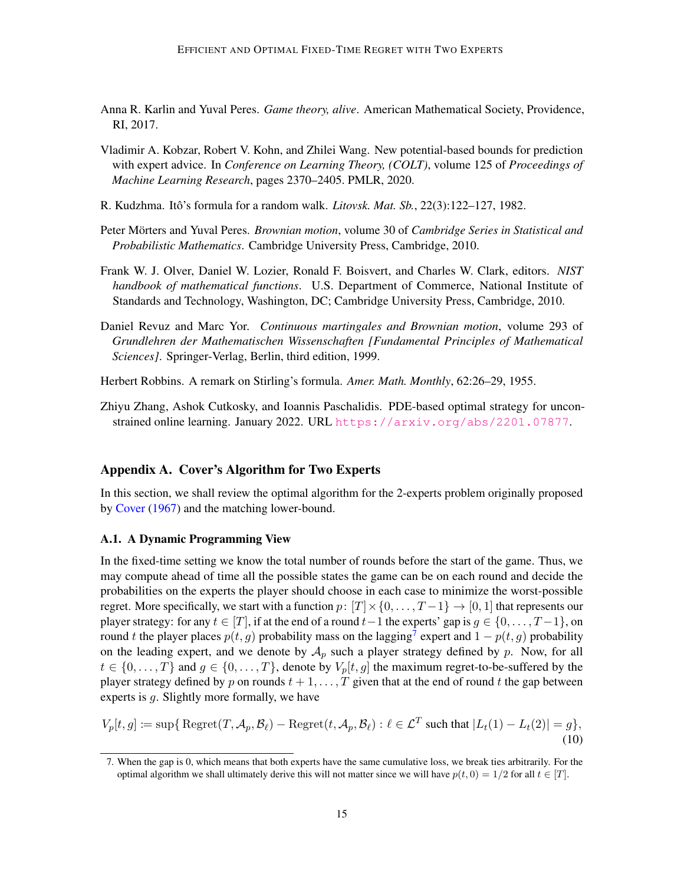- <span id="page-14-2"></span>Anna R. Karlin and Yuval Peres. *Game theory, alive*. American Mathematical Society, Providence, RI, 2017.
- <span id="page-14-0"></span>Vladimir A. Kobzar, Robert V. Kohn, and Zhilei Wang. New potential-based bounds for prediction with expert advice. In *Conference on Learning Theory, (COLT)*, volume 125 of *Proceedings of Machine Learning Research*, pages 2370–2405. PMLR, 2020.
- <span id="page-14-6"></span>R. Kudzhma. Itô's formula for a random walk. *Litovsk. Mat. Sb.*, 22(3):122–127, 1982.
- <span id="page-14-1"></span>Peter Mörters and Yuval Peres. *Brownian motion*, volume 30 of *Cambridge Series in Statistical and Probabilistic Mathematics*. Cambridge University Press, Cambridge, 2010.
- <span id="page-14-5"></span>Frank W. J. Olver, Daniel W. Lozier, Ronald F. Boisvert, and Charles W. Clark, editors. *NIST handbook of mathematical functions*. U.S. Department of Commerce, National Institute of Standards and Technology, Washington, DC; Cambridge University Press, Cambridge, 2010.
- <span id="page-14-4"></span>Daniel Revuz and Marc Yor. *Continuous martingales and Brownian motion*, volume 293 of *Grundlehren der Mathematischen Wissenschaften [Fundamental Principles of Mathematical Sciences]*. Springer-Verlag, Berlin, third edition, 1999.
- <span id="page-14-10"></span>Herbert Robbins. A remark on Stirling's formula. *Amer. Math. Monthly*, 62:26–29, 1955.
- <span id="page-14-7"></span>Zhiyu Zhang, Ashok Cutkosky, and Ioannis Paschalidis. PDE-based optimal strategy for unconstrained online learning. January 2022. URL <https://arxiv.org/abs/2201.07877>.

### <span id="page-14-3"></span>Appendix A. Cover's Algorithm for Two Experts

In this section, we shall review the optimal algorithm for the 2-experts problem originally proposed by [Cover](#page-13-3) [\(1967\)](#page-13-3) and the matching lower-bound.

### A.1. A Dynamic Programming View

In the fixed-time setting we know the total number of rounds before the start of the game. Thus, we may compute ahead of time all the possible states the game can be on each round and decide the probabilities on the experts the player should choose in each case to minimize the worst-possible regret. More specifically, we start with a function  $p: [T] \times \{0, \ldots, T-1\} \rightarrow [0, 1]$  that represents our player strategy: for any  $t \in [T]$ , if at the end of a round  $t-1$  the experts' gap is  $g \in \{0, \ldots, T-1\}$ , on round t the player places  $p(t, g)$  probability mass on the lagging<sup>[7](#page-14-8)</sup> expert and  $1 - p(t, g)$  probability on the leading expert, and we denote by  $A_n$  such a player strategy defined by p. Now, for all  $t \in \{0, \ldots, T\}$  and  $g \in \{0, \ldots, T\}$ , denote by  $V_p[t, g]$  the maximum regret-to-be-suffered by the player strategy defined by p on rounds  $t + 1, \ldots, T$  given that at the end of round t the gap between experts is g. Slightly more formally, we have

<span id="page-14-9"></span>
$$
V_p[t, g] := \sup\{\text{Regret}(T, \mathcal{A}_p, \mathcal{B}_\ell) - \text{Regret}(t, \mathcal{A}_p, \mathcal{B}_\ell) : \ell \in \mathcal{L}^T \text{ such that } |L_t(1) - L_t(2)| = g\},\tag{10}
$$

<span id="page-14-8"></span><sup>7.</sup> When the gap is 0, which means that both experts have the same cumulative loss, we break ties arbitrarily. For the optimal algorithm we shall ultimately derive this will not matter since we will have  $p(t, 0) = 1/2$  for all  $t \in [T]$ .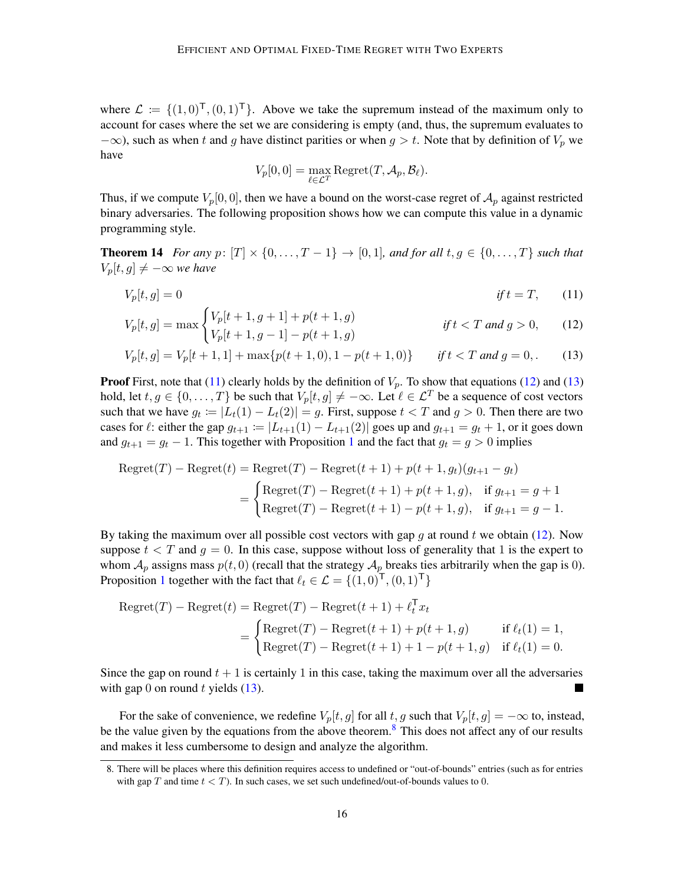where  $\mathcal{L} := \{(1,0)^T, (0,1)^T\}$ . Above we take the supremum instead of the maximum only to account for cases where the set we are considering is empty (and, thus, the supremum evaluates to  $-\infty$ ), such as when t and g have distinct parities or when  $g > t$ . Note that by definition of  $V_p$  we have

<span id="page-15-4"></span><span id="page-15-2"></span><span id="page-15-1"></span><span id="page-15-0"></span>
$$
V_p[0,0] = \max_{\ell \in \mathcal{L}^T} \text{Regret}(T, \mathcal{A}_p, \mathcal{B}_\ell).
$$

Thus, if we compute  $V_p[0, 0]$ , then we have a bound on the worst-case regret of  $\mathcal{A}_p$  against restricted binary adversaries. The following proposition shows how we can compute this value in a dynamic programming style.

**Theorem 14** *For any*  $p: [T] \times \{0, \ldots, T-1\} \rightarrow [0, 1]$ *, and for all*  $t, g \in \{0, \ldots, T\}$  *such that*  $V_p[t, g] \neq -\infty$  *we have* 

$$
V_p[t,g] = 0 \t\t \text{if } t = T,\t(11)
$$

$$
V_p[t,g] = \max \begin{cases} V_p[t+1,g+1] + p(t+1,g) \\ V_p[t+1,g-1] - p(t+1,g) \end{cases} \qquad \text{if } t < T \text{ and } g > 0,
$$
 (12)

$$
V_p[t,g] = V_p[t+1,1] + \max\{p(t+1,0), 1 - p(t+1,0)\} \qquad \text{if } t < T \text{ and } g = 0,\tag{13}
$$

**Proof** First, note that [\(11\)](#page-15-0) clearly holds by the definition of  $V_p$ . To show that equations [\(12\)](#page-15-1) and [\(13\)](#page-15-2) hold, let  $t, g \in \{0, ..., T\}$  be such that  $V_p[t, g] \neq -\infty$ . Let  $\ell \in \mathcal{L}^T$  be a sequence of cost vectors such that we have  $g_t := |L_t(1) - L_t(2)| = g$ . First, suppose  $t < T$  and  $g > 0$ . Then there are two cases for  $\ell$ : either the gap  $g_{t+1} := |L_{t+1}(1) - L_{t+1}(2)|$  goes up and  $g_{t+1} = g_t + 1$ , or it goes down and  $g_{t+1} = g_t - 1$  $g_{t+1} = g_t - 1$  $g_{t+1} = g_t - 1$ . This together with Proposition 1 and the fact that  $g_t = g > 0$  implies

Regret
$$
(T)
$$
 - Regret $(t)$  = Regret $(T)$  - Regret $(t + 1) + p(t + 1, g_t)(g_{t+1} - g_t)$   
= 
$$
\begin{cases} \text{Regret}(T) - \text{Regret}(t + 1) + p(t + 1, g), & \text{if } g_{t+1} = g + 1 \\ \text{Regret}(T) - \text{Regret}(t + 1) - p(t + 1, g), & \text{if } g_{t+1} = g - 1. \end{cases}
$$

By taking the maximum over all possible cost vectors with gap q at round t we obtain [\(12\)](#page-15-1). Now suppose  $t < T$  and  $g = 0$ . In this case, suppose without loss of generality that 1 is the expert to whom  $A_p$  assigns mass  $p(t, 0)$  (recall that the strategy  $A_p$  breaks ties arbitrarily when the gap is 0). Proposition [1](#page-3-1) together with the fact that  $\ell_t \in \mathcal{L} = \{(1, 0)^{\mathsf{T}}, (0, 1)^{\mathsf{T}}\}$ 

Regret
$$
(T)
$$
 – Regret $(t)$  = Regret $(T)$  – Regret $(t + 1) + \ell_t^{\mathsf{T}} x_t$   
= 
$$
\begin{cases} \text{Regret}(T) - \text{Regret}(t + 1) + p(t + 1, g) & \text{if } \ell_t(1) = 1, \\ \text{Regret}(T) - \text{Regret}(t + 1) + 1 - p(t + 1, g) & \text{if } \ell_t(1) = 0. \end{cases}
$$

Since the gap on round  $t + 1$  is certainly 1 in this case, taking the maximum over all the adversaries with gap 0 on round t yields  $(13)$ . ٠

For the sake of convenience, we redefine  $V_p[t, g]$  for all t, g such that  $V_p[t, g] = -\infty$  to, instead, be the value given by the equations from the above theorem.<sup>[8](#page-15-3)</sup> This does not affect any of our results and makes it less cumbersome to design and analyze the algorithm.

<span id="page-15-3"></span><sup>8.</sup> There will be places where this definition requires access to undefined or "out-of-bounds" entries (such as for entries with gap T and time  $t < T$ ). In such cases, we set such undefined/out-of-bounds values to 0.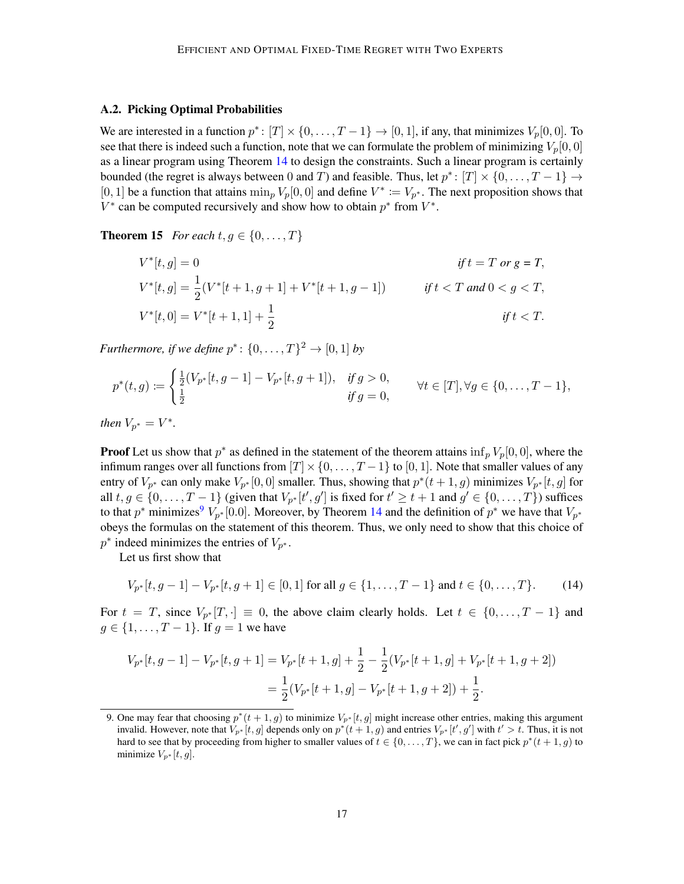#### A.2. Picking Optimal Probabilities

We are interested in a function  $p^* \colon [T] \times \{0, \ldots, T-1\} \to [0, 1]$ , if any, that minimizes  $V_p[0, 0]$ . To see that there is indeed such a function, note that we can formulate the problem of minimizing  $V_p[0, 0]$ as a linear program using Theorem [14](#page-15-4) to design the constraints. Such a linear program is certainly bounded (the regret is always between 0 and T) and feasible. Thus, let  $p^* \colon [T] \times \{0, \ldots, T-1\} \to$ [0, 1] be a function that attains  $\min_p V_p[0,0]$  and define  $V^* := V_{p^*}$ . The next proposition shows that  $V^*$  can be computed recursively and show how to obtain  $p^*$  from  $V^*$ .

<span id="page-16-2"></span>**Theorem 15** *For each t*,  $g \in \{0, \ldots, T\}$ 

$$
V^*[t, g] = 0
$$
  
\n
$$
V^*[t, g] = \frac{1}{2}(V^*[t+1, g+1] + V^*[t+1, g-1])
$$
  
\n
$$
V^*[t, 0] = V^*[t+1, 1] + \frac{1}{2}
$$
  
\nif  $t < T$  and  $0 < g < T$ ,  
\n
$$
V^*[t, 0] = V^*[t+1, 1] + \frac{1}{2}
$$
  
\nif  $t < T$ .

*Furthermore, if we define*  $p^*$ :  $\{0, \ldots, T\}^2 \rightarrow [0, 1]$  *by* 

$$
p^*(t,g) := \begin{cases} \frac{1}{2}(V_{p^*}[t,g-1] - V_{p^*}[t,g+1]), & \text{if } g > 0, \\ \frac{1}{2} & \text{if } g = 0, \end{cases} \forall t \in [T], \forall g \in \{0,\ldots,T-1\},
$$

*then*  $V_{p^*} = V^*$ *.* 

**Proof** Let us show that  $p^*$  as defined in the statement of the theorem attains  $\inf_p V_p[0,0]$ , where the infimum ranges over all functions from  $[T] \times \{0, \ldots, T-1\}$  to [0, 1]. Note that smaller values of any entry of  $V_{p^*}$  can only make  $V_{p^*}[0,0]$  smaller. Thus, showing that  $p^*(t+1,g)$  minimizes  $V_{p^*}[t,g]$  for all  $t, g \in \{0, \ldots, T-1\}$  (given that  $V_{p^*}[t', g']$  is fixed for  $t' \ge t + 1$  and  $g' \in \{0, \ldots, T\}$ ) suffices to that  $p^*$  minimizes<sup>[9](#page-16-0)</sup>  $V_{p^*}$ [0.0]. Moreover, by Theorem [14](#page-15-4) and the definition of  $p^*$  we have that  $V_{p^*}$ obeys the formulas on the statement of this theorem. Thus, we only need to show that this choice of  $p^*$  indeed minimizes the entries of  $V_{p^*}$ .

Let us first show that

<span id="page-16-1"></span>
$$
V_{p^*}[t, g-1] - V_{p^*}[t, g+1] \in [0, 1] \text{ for all } g \in \{1, \dots, T-1\} \text{ and } t \in \{0, \dots, T\}. \tag{14}
$$

For  $t = T$ , since  $V_{p^*}[T, \cdot] \equiv 0$ , the above claim clearly holds. Let  $t \in \{0, ..., T-1\}$  and  $g \in \{1, ..., T - 1\}$ . If  $g = 1$  we have

$$
V_{p^*}[t, g - 1] - V_{p^*}[t, g + 1] = V_{p^*}[t + 1, g] + \frac{1}{2} - \frac{1}{2}(V_{p^*}[t + 1, g] + V_{p^*}[t + 1, g + 2])
$$
  
=  $\frac{1}{2}(V_{p^*}[t + 1, g] - V_{p^*}[t + 1, g + 2]) + \frac{1}{2}.$ 

<span id="page-16-0"></span><sup>9.</sup> One may fear that choosing  $p^*(t+1,g)$  to minimize  $V_{p^*}[t,g]$  might increase other entries, making this argument invalid. However, note that  $V_{p^*}[t, g]$  depends only on  $p^*(t+1, g)$  and entries  $V_{p^*}[t', g']$  with  $t' > t$ . Thus, it is not hard to see that by proceeding from higher to smaller values of  $t \in \{0, \ldots, T\}$ , we can in fact pick  $p^*(t+1, g)$  to minimize  $V_{p*}[t, g]$ .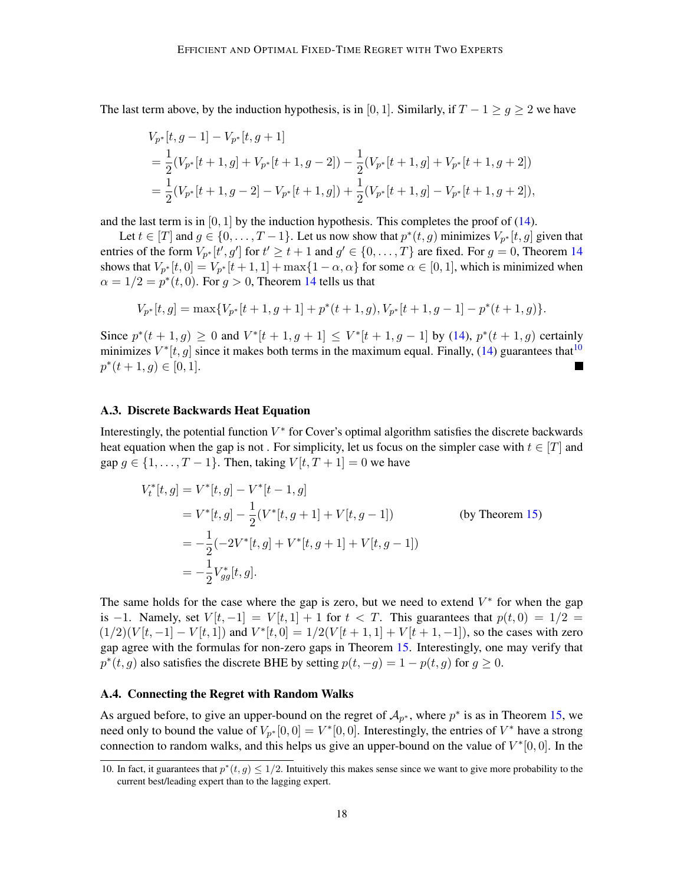The last term above, by the induction hypothesis, is in [0, 1]. Similarly, if  $T - 1 \ge g \ge 2$  we have

$$
V_{p^*}[t, g - 1] - V_{p^*}[t, g + 1]
$$
  
=  $\frac{1}{2}(V_{p^*}[t + 1, g] + V_{p^*}[t + 1, g - 2]) - \frac{1}{2}(V_{p^*}[t + 1, g] + V_{p^*}[t + 1, g + 2])$   
=  $\frac{1}{2}(V_{p^*}[t + 1, g - 2] - V_{p^*}[t + 1, g]) + \frac{1}{2}(V_{p^*}[t + 1, g] - V_{p^*}[t + 1, g + 2]),$ 

and the last term is in  $[0, 1]$  by the induction hypothesis. This completes the proof of [\(14\)](#page-16-1).

Let  $t \in [T]$  and  $g \in \{0, \ldots, T-1\}$ . Let us now show that  $p^*(t, g)$  minimizes  $V_{p^*}[t, g]$  given that entries of the form  $V_{p^*}[t', g']$  for  $t' \geq t + 1$  and  $g' \in \{0, \ldots, T\}$  are fixed. For  $g = 0$ , Theorem [14](#page-15-4) shows that  $V_{p^*}[t,0] = V_{p^*}[t+1,1] + \max\{1-\alpha,\alpha\}$  for some  $\alpha \in [0,1]$ , which is minimized when  $\alpha = 1/2 = p^*(t, 0)$ . For  $g > 0$ , Theorem [14](#page-15-4) tells us that

$$
V_{p^*}[t,g]=\max\{V_{p^*}[t+1,g+1]+p^*(t+1,g), V_{p^*}[t+1,g-1]-p^*(t+1,g)\}.
$$

Since  $p^*(t+1,g) \ge 0$  and  $V^*[t+1,g+1] \le V^*[t+1,g-1]$  by [\(14\)](#page-16-1),  $p^*(t+1,g)$  certainly minimizes  $V^*[t, g]$  since it makes both terms in the maximum equal. Finally, [\(14\)](#page-16-1) guarantees that  $10$  $p^*(t+1,g) \in [0,1].$ a sa

#### <span id="page-17-0"></span>A.3. Discrete Backwards Heat Equation

Interestingly, the potential function  $V^*$  for Cover's optimal algorithm satisfies the discrete backwards heat equation when the gap is not. For simplicity, let us focus on the simpler case with  $t \in [T]$  and gap  $g \in \{1, \ldots, T-1\}$ . Then, taking  $V[t, T+1] = 0$  we have

$$
V_t^*[t, g] = V^*[t, g] - V^*[t - 1, g]
$$
  
=  $V^*[t, g] - \frac{1}{2}(V^*[t, g + 1] + V[t, g - 1])$  (by Theorem 15)  
=  $-\frac{1}{2}(-2V^*[t, g] + V^*[t, g + 1] + V[t, g - 1])$   
=  $-\frac{1}{2}V_{gg}^*[t, g].$ 

The same holds for the case where the gap is zero, but we need to extend  $V^*$  for when the gap is -1. Namely, set  $V[t, -1] = V[t, 1] + 1$  for  $t < T$ . This guarantees that  $p(t, 0) = 1/2 =$  $(1/2)(V[t, -1] - V[t, 1])$  and  $V^*[t, 0] = 1/2(V[t + 1, 1] + V[t + 1, -1])$ , so the cases with zero gap agree with the formulas for non-zero gaps in Theorem [15.](#page-16-2) Interestingly, one may verify that  $p^*(t, g)$  also satisfies the discrete BHE by setting  $p(t, -g) = 1 - p(t, g)$  for  $g \ge 0$ .

#### A.4. Connecting the Regret with Random Walks

As argued before, to give an upper-bound on the regret of  $A_{p^*}$ , where  $p^*$  is as in Theorem [15,](#page-16-2) we need only to bound the value of  $V_{p^*}[0,0] = V^*[0,0]$ . Interestingly, the entries of  $V^*$  have a strong connection to random walks, and this helps us give an upper-bound on the value of  $V^*[0,0]$ . In the

<span id="page-17-1"></span><sup>10.</sup> In fact, it guarantees that  $p^*(t, g) \leq 1/2$ . Intuitively this makes sense since we want to give more probability to the current best/leading expert than to the lagging expert.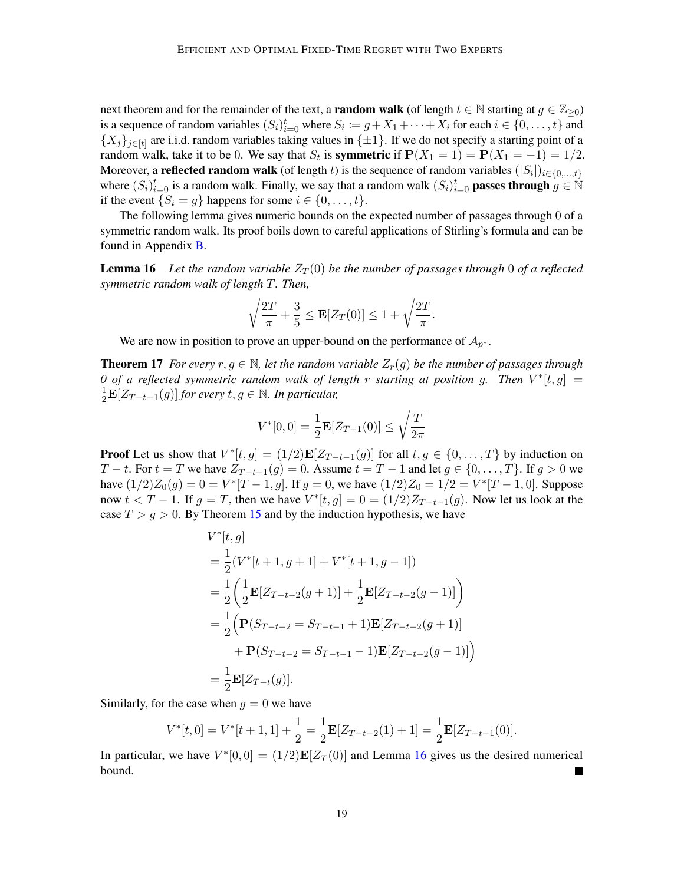next theorem and for the remainder of the text, a **random walk** (of length  $t \in \mathbb{N}$  starting at  $g \in \mathbb{Z}_{\geq 0}$ ) is a sequence of random variables  $(S_i)_{i=0}^t$  where  $S_i := g + X_1 + \cdots + X_i$  for each  $i \in \{0, \ldots, t\}$  and  $\{X_j\}_{j\in[t]}$  are i.i.d. random variables taking values in  $\{\pm 1\}$ . If we do not specify a starting point of a random walk, take it to be 0. We say that  $S_t$  is **symmetric** if  $P(X_1 = 1) = P(X_1 = -1) = 1/2$ . Moreover, a **reflected random walk** (of length t) is the sequence of random variables  $(|S_i|)_{i \in \{0,\dots,t\}}$ where  $(S_i)_{i=0}^t$  is a random walk. Finally, we say that a random walk  $(S_i)_{i=0}^t$  passes through  $g \in \mathbb{N}$ if the event  $\{S_i = g\}$  happens for some  $i \in \{0, \ldots, t\}$ .

The following lemma gives numeric bounds on the expected number of passages through 0 of a symmetric random walk. Its proof boils down to careful applications of Stirling's formula and can be found in Appendix [B.](#page-20-0)

<span id="page-18-0"></span>**Lemma 16** Let the random variable  $Z_T(0)$  be the number of passages through 0 of a reflected *symmetric random walk of length* T*. Then,*

$$
\sqrt{\frac{2T}{\pi}} + \frac{3}{5} \leq \mathbf{E}[Z_T(0)] \leq 1 + \sqrt{\frac{2T}{\pi}}.
$$

We are now in position to prove an upper-bound on the performance of  $A_{p^*}$ .

**Theorem 17** *For every*  $r, g \in \mathbb{N}$ , let the random variable  $Z_r(g)$  be the number of passages through *0* of a reflected symmetric random walk of length r starting at position g. Then  $V^*[t, g] =$  $\frac{1}{2}$ **E**[Z<sub>T-t−1</sub>(g)] for every t, g ∈ N. In particular,

$$
V^*[0,0] = \frac{1}{2} \mathbf{E}[Z_{T-1}(0)] \le \sqrt{\frac{T}{2\pi}}
$$

**Proof** Let us show that  $V^*[t, g] = (1/2) \mathbf{E}[Z_{T-t-1}(g)]$  for all  $t, g \in \{0, ..., T\}$  by induction on T − t. For  $t = T$  we have  $Z_{T-t-1}(g) = 0$ . Assume  $t = T - 1$  and let  $g \in \{0, ..., T\}$ . If  $g > 0$  we have  $(1/2)Z_0(g) = 0 = V^*[T-1, g]$ . If  $g = 0$ , we have  $(1/2)Z_0 = 1/2 = V^*[T-1, 0]$ . Suppose now  $t < T - 1$ . If  $g = T$ , then we have  $V^*[t, g] = 0 = (1/2)Z_{T-t-1}(g)$ . Now let us look at the case  $T > g > 0$ . By Theorem [15](#page-16-2) and by the induction hypothesis, we have

$$
V^*[t, g]
$$
  
=  $\frac{1}{2}(V^*[t+1, g+1] + V^*[t+1, g-1])$   
=  $\frac{1}{2}(\frac{1}{2}\mathbf{E}[Z_{T-t-2}(g+1)] + \frac{1}{2}\mathbf{E}[Z_{T-t-2}(g-1)])$   
=  $\frac{1}{2}(\mathbf{P}(S_{T-t-2} = S_{T-t-1} + 1)\mathbf{E}[Z_{T-t-2}(g+1)]$   
+  $\mathbf{P}(S_{T-t-2} = S_{T-t-1} - 1)\mathbf{E}[Z_{T-t-2}(g-1)]$   
=  $\frac{1}{2}\mathbf{E}[Z_{T-t}(g)].$ 

Similarly, for the case when  $q = 0$  we have

$$
V^*[t,0] = V^*[t+1,1] + \frac{1}{2} = \frac{1}{2} \mathbf{E}[Z_{T-t-2}(1)+1] = \frac{1}{2} \mathbf{E}[Z_{T-t-1}(0)].
$$

In particular, we have  $V^*[0,0] = (1/2)\mathbf{E}[Z_T(0)]$  and Lemma [16](#page-18-0) gives us the desired numerical bound.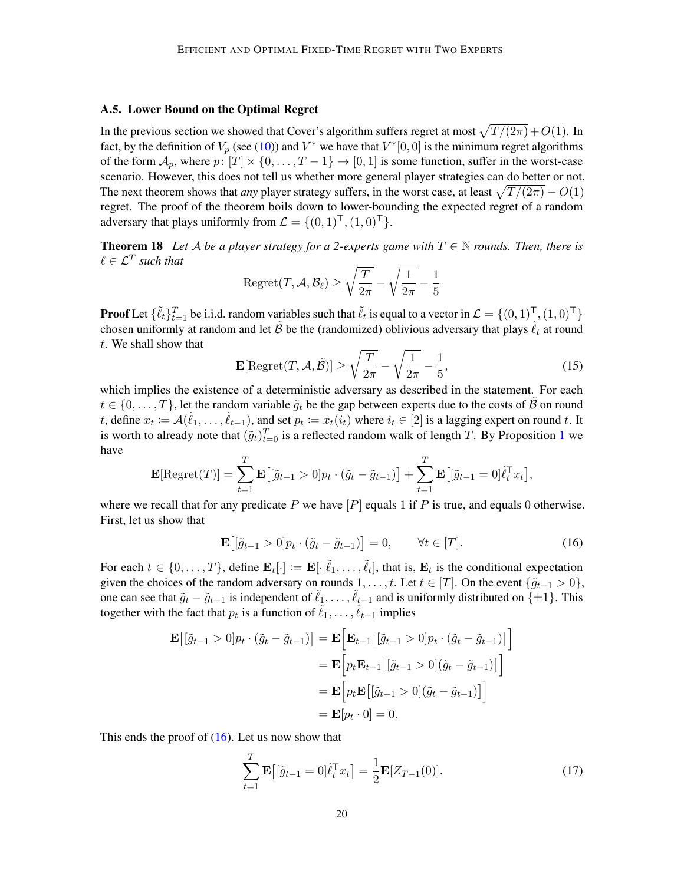#### <span id="page-19-0"></span>A.5. Lower Bound on the Optimal Regret

In the previous section we showed that Cover's algorithm suffers regret at most  $\sqrt{T/(2\pi)}$  +  $O(1)$ . In fact, by the definition of  $V_p$  (see [\(10\)](#page-14-9)) and  $V^*$  we have that  $V^*[0,0]$  is the minimum regret algorithms of the form  $\mathcal{A}_p$ , where  $p: [T] \times \{0, \ldots, T-1\} \to [0,1]$  is some function, suffer in the worst-case scenario. However, this does not tell us whether more general player strategies can do better or not. The next theorem shows that *any* player strategy suffers, in the worst case, at least  $\sqrt{T/(2\pi)} - O(1)$ regret. The proof of the theorem boils down to lower-bounding the expected regret of a random adversary that plays uniformly from  $\mathcal{L} = \{(0, 1)^{\mathsf{T}}, (1, 0)^{\mathsf{T}}\}.$ 

**Theorem 18** Let A be a player strategy for a 2-experts game with  $T \in \mathbb{N}$  rounds. Then, there is  $\ell \in {\cal L}^T$  such that

$$
\text{Regret}(T, \mathcal{A}, \mathcal{B}_\ell) \ge \sqrt{\frac{T}{2\pi}} - \sqrt{\frac{1}{2\pi}} - \frac{1}{5}
$$

**Proof** Let  $\{\tilde{\ell}_t\}_{t=1}^T$  be i.i.d. random variables such that  $\tilde{\ell}_t$  is equal to a vector in  $\mathcal{L} = \{(0,1)^\top, (1,0)^\top\}$ chosen uniformly at random and let  $\hat{\mathcal{B}}$  be the (randomized) oblivious adversary that plays  $\hat{\ell}_t$  at round t. We shall show that

$$
\mathbf{E}[\text{Regret}(T, \mathcal{A}, \tilde{\mathcal{B}})] \ge \sqrt{\frac{T}{2\pi}} - \sqrt{\frac{1}{2\pi}} - \frac{1}{5},\tag{15}
$$

which implies the existence of a deterministic adversary as described in the statement. For each  $t \in \{0, \ldots, T\}$ , let the random variable  $\tilde{g}_t$  be the gap between experts due to the costs of  $\tilde{\mathcal{B}}$  on round t, define  $x_t := \mathcal{A}(\tilde{\ell}_1, \dots, \tilde{\ell}_{t-1})$ , and set  $p_t := x_t(i_t)$  where  $i_t \in [2]$  is a lagging expert on round t. It is worth to already note that  $(\tilde{g}_t)_{t=0}^T$  is a reflected random walk of length T. By Proposition [1](#page-3-1) we have

$$
\mathbf{E}[\text{Regret}(T)] = \sum_{t=1}^{T} \mathbf{E}\big[ [\tilde{g}_{t-1} > 0] p_t \cdot (\tilde{g}_t - \tilde{g}_{t-1}) \big] + \sum_{t=1}^{T} \mathbf{E}\big[ [\tilde{g}_{t-1} = 0] \tilde{\ell}_t^{\mathsf{T}} x_t \big],
$$

where we recall that for any predicate  $P$  we have  $[P]$  equals 1 if  $P$  is true, and equals 0 otherwise. First, let us show that

<span id="page-19-1"></span>
$$
\mathbf{E}\big[ [\tilde{g}_{t-1} > 0] p_t \cdot (\tilde{g}_t - \tilde{g}_{t-1}) \big] = 0, \qquad \forall t \in [T]. \tag{16}
$$

For each  $t \in \{0, \ldots, T\}$ , define  $\mathbf{E}_t[\cdot] \coloneqq \mathbf{E}[\cdot | \tilde{\ell}_1, \ldots, \tilde{\ell}_t]$ , that is,  $\mathbf{E}_t$  is the conditional expectation given the choices of the random adversary on rounds  $1, \ldots, t$ . Let  $t \in [T]$ . On the event  $\{\tilde{g}_{t-1} > 0\}$ , one can see that  $\tilde{g}_t - \tilde{g}_{t-1}$  is independent of  $\tilde{\ell}_1, \ldots, \tilde{\ell}_{t-1}$  and is uniformly distributed on  $\{\pm 1\}$ . This together with the fact that  $p_t$  is a function of  $\tilde{\ell}_1, \ldots, \tilde{\ell}_{t-1}$  implies

$$
\mathbf{E}\left[ [\tilde{g}_{t-1} > 0] p_t \cdot (\tilde{g}_t - \tilde{g}_{t-1}) \right] = \mathbf{E} \left[ \mathbf{E}_{t-1} \left[ [\tilde{g}_{t-1} > 0] p_t \cdot (\tilde{g}_t - \tilde{g}_{t-1}) \right] \right]
$$
  
\n
$$
= \mathbf{E} \left[ p_t \mathbf{E}_{t-1} \left[ [\tilde{g}_{t-1} > 0] (\tilde{g}_t - \tilde{g}_{t-1}) \right] \right]
$$
  
\n
$$
= \mathbf{E} \left[ p_t \mathbf{E} \left[ [\tilde{g}_{t-1} > 0] (\tilde{g}_t - \tilde{g}_{t-1}) \right] \right]
$$
  
\n
$$
= \mathbf{E} [p_t \cdot 0] = 0.
$$

This ends the proof of  $(16)$ . Let us now show that

<span id="page-19-2"></span>
$$
\sum_{t=1}^{T} \mathbf{E} \left[ [\tilde{g}_{t-1} = 0] \tilde{\ell}_t^{\mathsf{T}} x_t \right] = \frac{1}{2} \mathbf{E} [Z_{T-1}(0)]. \tag{17}
$$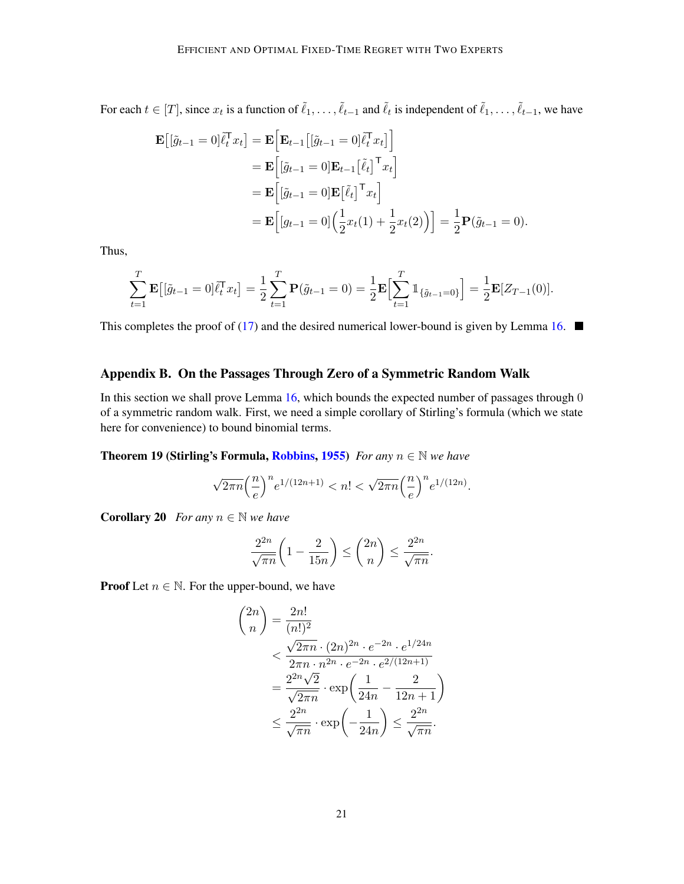For each  $t \in [T]$ , since  $x_t$  is a function of  $\tilde{\ell}_1, \ldots, \tilde{\ell}_{t-1}$  and  $\tilde{\ell}_t$  is independent of  $\tilde{\ell}_1, \ldots, \tilde{\ell}_{t-1}$ , we have

$$
\mathbf{E}\left[ [\tilde{g}_{t-1} = 0] \tilde{\ell}_t^{\mathsf{T}} x_t \right] = \mathbf{E} \left[ \mathbf{E}_{t-1} \left[ [\tilde{g}_{t-1} = 0] \tilde{\ell}_t^{\mathsf{T}} x_t \right] \right]
$$
  
\n
$$
= \mathbf{E} \left[ [\tilde{g}_{t-1} = 0] \mathbf{E}_{t-1} \left[ \tilde{\ell}_t \right]^{\mathsf{T}} x_t \right]
$$
  
\n
$$
= \mathbf{E} \left[ [\tilde{g}_{t-1} = 0] \mathbf{E} \left[ \tilde{\ell}_t \right]^{\mathsf{T}} x_t \right]
$$
  
\n
$$
= \mathbf{E} \left[ [g_{t-1} = 0] \left( \frac{1}{2} x_t (1) + \frac{1}{2} x_t (2) \right) \right] = \frac{1}{2} \mathbf{P} (\tilde{g}_{t-1} = 0).
$$

Thus,

$$
\sum_{t=1}^{T} \mathbf{E} \big[ [\tilde{g}_{t-1} = 0] \tilde{\ell}_t^{\mathsf{T}} x_t \big] = \frac{1}{2} \sum_{t=1}^{T} \mathbf{P}(\tilde{g}_{t-1} = 0) = \frac{1}{2} \mathbf{E} \Big[ \sum_{t=1}^{T} \mathbb{1}_{\{\tilde{g}_{t-1} = 0\}} \Big] = \frac{1}{2} \mathbf{E} [Z_{T-1}(0)].
$$

This completes the proof of [\(17\)](#page-19-2) and the desired numerical lower-bound is given by Lemma [16.](#page-18-0)  $\blacksquare$ 

## <span id="page-20-0"></span>Appendix B. On the Passages Through Zero of a Symmetric Random Walk

In this section we shall prove Lemma [16,](#page-18-0) which bounds the expected number of passages through 0 of a symmetric random walk. First, we need a simple corollary of Stirling's formula (which we state here for convenience) to bound binomial terms.

**Theorem 19 (Stirling's Formula, [Robbins,](#page-14-10) [1955\)](#page-14-10)** *For any*  $n \in \mathbb{N}$  *we have* 

$$
\sqrt{2\pi n}\Big(\frac{n}{e}\Big)^n e^{1/(12n+1)}
$$

<span id="page-20-1"></span>**Corollary 20** *For any*  $n \in \mathbb{N}$  *we have* 

$$
\frac{2^{2n}}{\sqrt{\pi n}} \left( 1 - \frac{2}{15n} \right) \le \binom{2n}{n} \le \frac{2^{2n}}{\sqrt{\pi n}}.
$$

**Proof** Let  $n \in \mathbb{N}$ . For the upper-bound, we have

$$
\binom{2n}{n} = \frac{2n!}{(n!)^2}
$$
  

$$
< \frac{\sqrt{2\pi n} \cdot (2n)^{2n} \cdot e^{-2n} \cdot e^{1/24n}}{2\pi n \cdot n^{2n} \cdot e^{-2n} \cdot e^{2/(12n+1)}}
$$
  

$$
= \frac{2^{2n}\sqrt{2}}{\sqrt{2\pi n}} \cdot \exp\left(\frac{1}{24n} - \frac{2}{12n+1}\right)
$$
  

$$
\leq \frac{2^{2n}}{\sqrt{\pi n}} \cdot \exp\left(-\frac{1}{24n}\right) \leq \frac{2^{2n}}{\sqrt{\pi n}}.
$$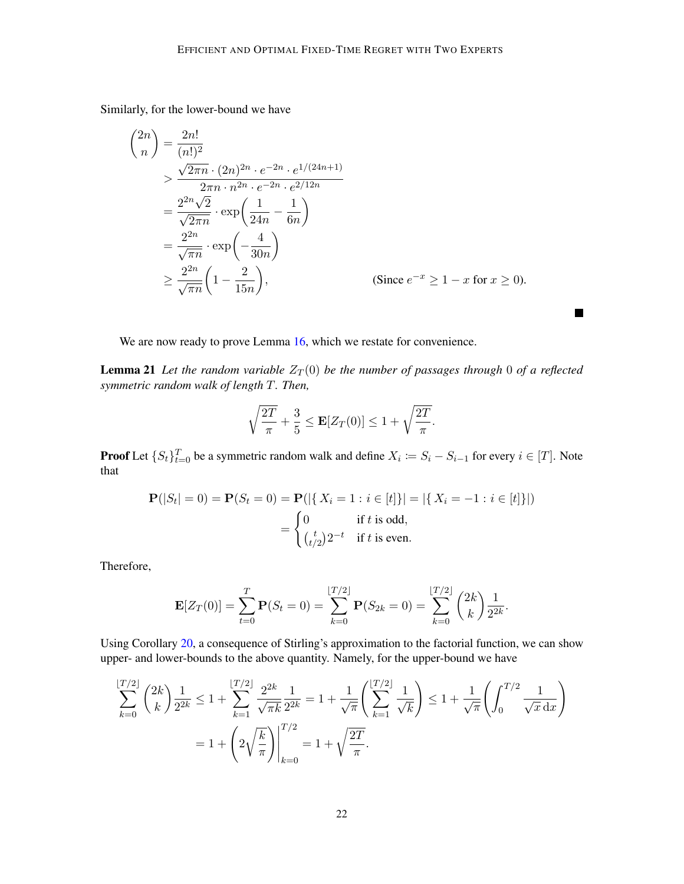Similarly, for the lower-bound we have

$$
\binom{2n}{n} = \frac{2n!}{(n!)^2}
$$
\n
$$
> \frac{\sqrt{2\pi n} \cdot (2n)^{2n} \cdot e^{-2n} \cdot e^{1/(24n+1)}}{2\pi n \cdot n^{2n} \cdot e^{-2n} \cdot e^{2/12n}}
$$
\n
$$
= \frac{2^{2n}\sqrt{2}}{\sqrt{2\pi n}} \cdot \exp\left(\frac{1}{24n} - \frac{1}{6n}\right)
$$
\n
$$
= \frac{2^{2n}}{\sqrt{\pi n}} \cdot \exp\left(-\frac{4}{30n}\right)
$$
\n
$$
\geq \frac{2^{2n}}{\sqrt{\pi n}} \left(1 - \frac{2}{15n}\right), \qquad \text{(Since } e^{-x} \geq 1 - x \text{ for } x \geq 0).
$$

We are now ready to prove Lemma  $16$ , which we restate for convenience.

**Lemma 21** Let the random variable  $Z_T(0)$  be the number of passages through 0 of a reflected *symmetric random walk of length* T*. Then,*

 $\blacksquare$ 

$$
\sqrt{\frac{2T}{\pi}} + \frac{3}{5} \leq \mathbf{E}[Z_T(0)] \leq 1 + \sqrt{\frac{2T}{\pi}}.
$$

**Proof** Let  $\{S_t\}_{t=0}^T$  be a symmetric random walk and define  $X_i := S_i - S_{i-1}$  for every  $i \in [T]$ . Note that

$$
\mathbf{P}(|S_t| = 0) = \mathbf{P}(S_t = 0) = \mathbf{P}(|\{X_i = 1 : i \in [t]\}| = |\{X_i = -1 : i \in [t]\}|)
$$

$$
= \begin{cases} 0 & \text{if } t \text{ is odd,} \\ \binom{t}{t/2} 2^{-t} & \text{if } t \text{ is even.} \end{cases}
$$

Therefore,

$$
\mathbf{E}[Z_T(0)] = \sum_{t=0}^T \mathbf{P}(S_t = 0) = \sum_{k=0}^{\lfloor T/2 \rfloor} \mathbf{P}(S_{2k} = 0) = \sum_{k=0}^{\lfloor T/2 \rfloor} {2k \choose k} \frac{1}{2^{2k}}.
$$

Using Corollary [20,](#page-20-1) a consequence of Stirling's approximation to the factorial function, we can show upper- and lower-bounds to the above quantity. Namely, for the upper-bound we have

$$
\sum_{k=0}^{\lfloor T/2 \rfloor} \binom{2k}{k} \frac{1}{2^{2k}} \le 1 + \sum_{k=1}^{\lfloor T/2 \rfloor} \frac{2^{2k}}{\sqrt{\pi k}} \frac{1}{2^{2k}} = 1 + \frac{1}{\sqrt{\pi}} \left( \sum_{k=1}^{\lfloor T/2 \rfloor} \frac{1}{\sqrt{k}} \right) \le 1 + \frac{1}{\sqrt{\pi}} \left( \int_0^{T/2} \frac{1}{\sqrt{x} \, dx} \right)
$$

$$
= 1 + \left( 2 \sqrt{\frac{k}{\pi}} \right) \Big|_{k=0}^{T/2} = 1 + \sqrt{\frac{2T}{\pi}}.
$$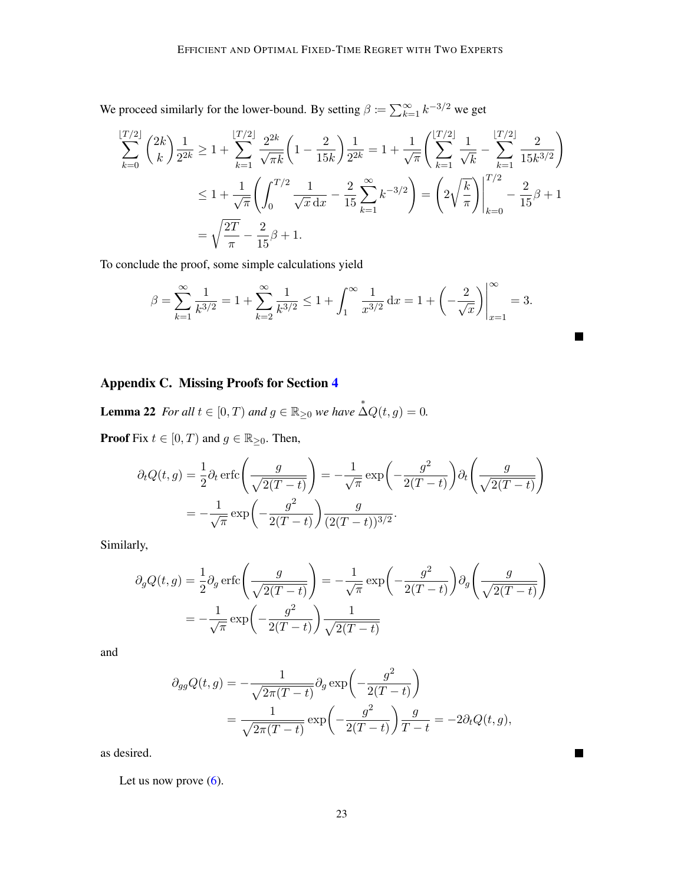We proceed similarly for the lower-bound. By setting  $\beta := \sum_{k=1}^{\infty} k^{-3/2}$  we get

$$
\sum_{k=0}^{\lfloor T/2 \rfloor} {2k \choose k} \frac{1}{2^{2k}} \ge 1 + \sum_{k=1}^{\lfloor T/2 \rfloor} \frac{2^{2k}}{\sqrt{\pi k}} \left( 1 - \frac{2}{15k} \right) \frac{1}{2^{2k}} = 1 + \frac{1}{\sqrt{\pi}} \left( \sum_{k=1}^{\lfloor T/2 \rfloor} \frac{1}{\sqrt{k}} - \sum_{k=1}^{\lfloor T/2 \rfloor} \frac{2}{15k^{3/2}} \right)
$$
  

$$
\le 1 + \frac{1}{\sqrt{\pi}} \left( \int_0^{T/2} \frac{1}{\sqrt{x} dx} - \frac{2}{15} \sum_{k=1}^{\infty} k^{-3/2} \right) = \left( 2 \sqrt{\frac{k}{\pi}} \right) \Big|_{k=0}^{T/2} - \frac{2}{15} \beta + 1
$$
  

$$
= \sqrt{\frac{2T}{\pi}} - \frac{2}{15} \beta + 1.
$$

To conclude the proof, some simple calculations yield

$$
\beta = \sum_{k=1}^{\infty} \frac{1}{k^{3/2}} = 1 + \sum_{k=2}^{\infty} \frac{1}{k^{3/2}} \le 1 + \int_{1}^{\infty} \frac{1}{x^{3/2}} dx = 1 + \left(-\frac{2}{\sqrt{x}}\right)\Big|_{x=1}^{\infty} = 3.
$$

 $\blacksquare$ 

 $\blacksquare$ 

# <span id="page-22-0"></span>Appendix C. Missing Proofs for Section [4](#page-4-0)

**Lemma 22** For all  $t \in [0, T)$  and  $g \in \mathbb{R}_{\geq 0}$  we have  $\stackrel{*}{\Delta}Q(t, g) = 0$ .

**Proof** Fix  $t \in [0, T)$  and  $g \in \mathbb{R}_{\geq 0}$ . Then,

$$
\partial_t Q(t,g) = \frac{1}{2} \partial_t \operatorname{erfc}\left(\frac{g}{\sqrt{2(T-t)}}\right) = -\frac{1}{\sqrt{\pi}} \exp\left(-\frac{g^2}{2(T-t)}\right) \partial_t \left(\frac{g}{\sqrt{2(T-t)}}\right)
$$

$$
= -\frac{1}{\sqrt{\pi}} \exp\left(-\frac{g^2}{2(T-t)}\right) \frac{g}{(2(T-t))^{3/2}}.
$$

Similarly,

$$
\partial_g Q(t,g) = \frac{1}{2} \partial_g \operatorname{erfc}\left(\frac{g}{\sqrt{2(T-t)}}\right) = -\frac{1}{\sqrt{\pi}} \exp\left(-\frac{g^2}{2(T-t)}\right) \partial_g \left(\frac{g}{\sqrt{2(T-t)}}\right)
$$

$$
= -\frac{1}{\sqrt{\pi}} \exp\left(-\frac{g^2}{2(T-t)}\right) \frac{1}{\sqrt{2(T-t)}}
$$

and

$$
\partial_{gg} Q(t,g) = -\frac{1}{\sqrt{2\pi(T-t)}} \partial_g \exp\left(-\frac{g^2}{2(T-t)}\right)
$$

$$
= \frac{1}{\sqrt{2\pi(T-t)}} \exp\left(-\frac{g^2}{2(T-t)}\right) \frac{g}{T-t} = -2\partial_t Q(t,g),
$$

as desired.

Let us now prove  $(6)$ .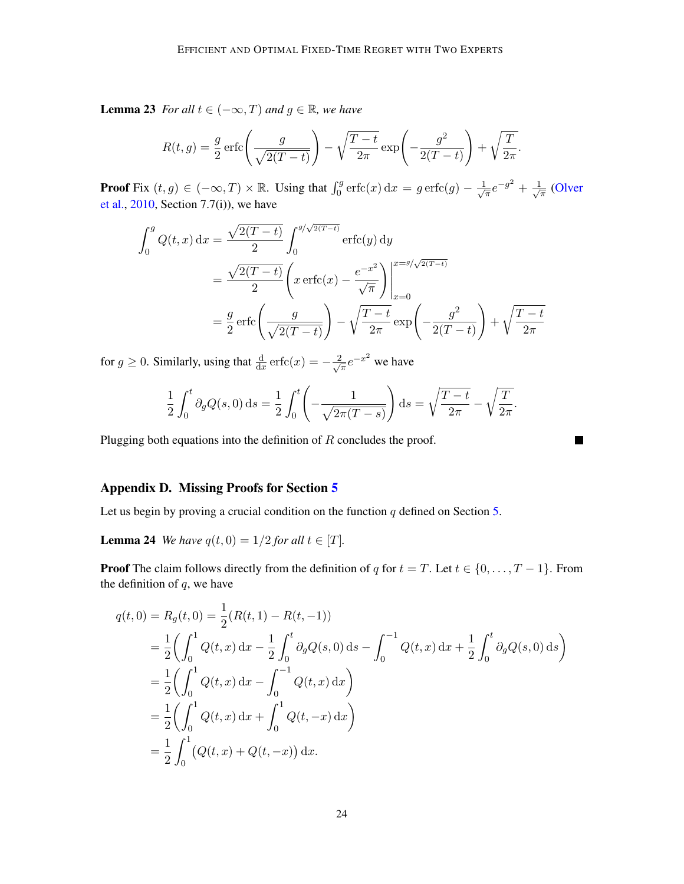**Lemma 23** *For all*  $t \in (-\infty, T)$  *and*  $g \in \mathbb{R}$ *, we have* 

$$
R(t,g) = \frac{g}{2} \operatorname{erfc}\left(\frac{g}{\sqrt{2(T-t)}}\right) - \sqrt{\frac{T-t}{2\pi}} \exp\left(-\frac{g^2}{2(T-t)}\right) + \sqrt{\frac{T}{2\pi}}.
$$

**Proof** Fix  $(t, g) \in (-\infty, T) \times \mathbb{R}$ . Using that  $\int_0^g \text{erfc}(x) dx = g \text{erfc}(g) - \frac{1}{\sqrt{2\pi}}$  $\frac{1}{\pi}e^{-g^2}+\frac{1}{\sqrt{2}}$  $\frac{1}{\pi}$  [\(Olver](#page-14-5) [et al.,](#page-14-5) [2010,](#page-14-5) Section 7.7(i)), we have

$$
\int_{0}^{g} Q(t, x) dx = \frac{\sqrt{2(T - t)}}{2} \int_{0}^{g/\sqrt{2(T - t)}} \text{erfc}(y) dy
$$

$$
= \frac{\sqrt{2(T - t)}}{2} \left( x \text{erfc}(x) - \frac{e^{-x^{2}}}{\sqrt{\pi}} \right) \Big|_{x=0}^{x=g/\sqrt{2(T - t)}}
$$

$$
= \frac{g}{2} \text{erfc}\left( \frac{g}{\sqrt{2(T - t)}} \right) - \sqrt{\frac{T - t}{2\pi}} \exp\left( -\frac{g^{2}}{2(T - t)} \right) + \sqrt{\frac{T - t}{2\pi}}
$$

for  $g \ge 0$ . Similarly, using that  $\frac{d}{dx}$  erfc $(x) = -\frac{2}{\sqrt{x}}$  $\frac{d}{\pi}e^{-x^2}$  we have

$$
\frac{1}{2} \int_0^t \partial_g Q(s,0) \, ds = \frac{1}{2} \int_0^t \left( -\frac{1}{\sqrt{2\pi (T-s)}} \right) ds = \sqrt{\frac{T-t}{2\pi}} - \sqrt{\frac{T}{2\pi}}.
$$

П

Plugging both equations into the definition of R concludes the proof.

<span id="page-23-0"></span>Appendix D. Missing Proofs for Section [5](#page-9-0)

Let us begin by proving a crucial condition on the function  $q$  defined on Section [5.](#page-9-0)

**Lemma 24** *We have*  $q(t, 0) = 1/2$  *for all*  $t \in [T]$ *.* 

**Proof** The claim follows directly from the definition of q for  $t = T$ . Let  $t \in \{0, ..., T - 1\}$ . From the definition of  $q$ , we have

$$
q(t, 0) = R_g(t, 0) = \frac{1}{2}(R(t, 1) - R(t, -1))
$$
  
=  $\frac{1}{2} \left( \int_0^1 Q(t, x) dx - \frac{1}{2} \int_0^t \partial_g Q(s, 0) ds - \int_0^{-1} Q(t, x) dx + \frac{1}{2} \int_0^t \partial_g Q(s, 0) ds \right)$   
=  $\frac{1}{2} \left( \int_0^1 Q(t, x) dx - \int_0^{-1} Q(t, x) dx \right)$   
=  $\frac{1}{2} \left( \int_0^1 Q(t, x) dx + \int_0^1 Q(t, -x) dx \right)$   
=  $\frac{1}{2} \int_0^1 (Q(t, x) + Q(t, -x)) dx.$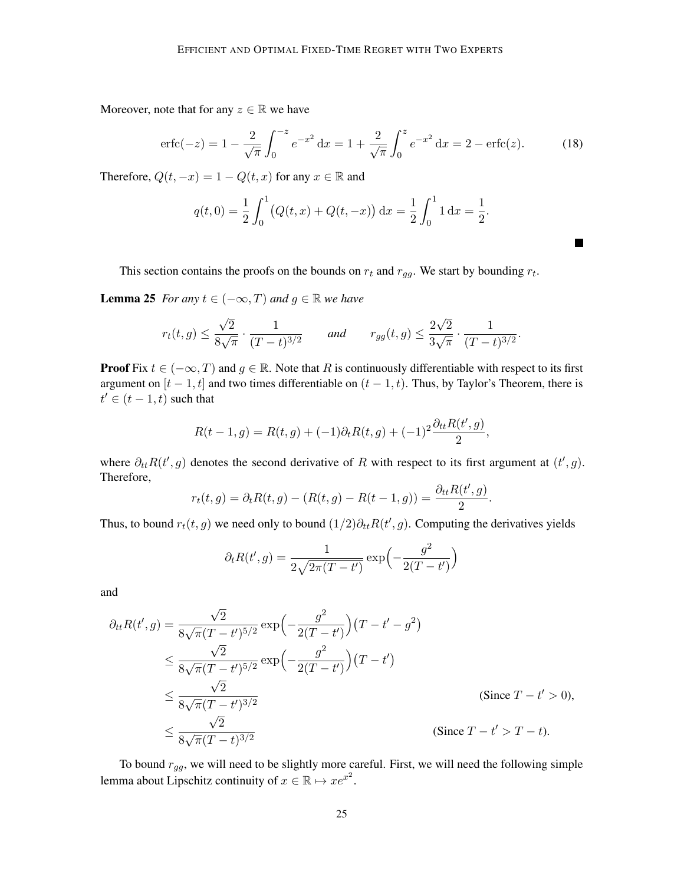Moreover, note that for any  $z \in \mathbb{R}$  we have

<span id="page-24-1"></span>
$$
\operatorname{erfc}(-z) = 1 - \frac{2}{\sqrt{\pi}} \int_0^{-z} e^{-x^2} dx = 1 + \frac{2}{\sqrt{\pi}} \int_0^z e^{-x^2} dx = 2 - \operatorname{erfc}(z). \tag{18}
$$

Therefore,  $Q(t, -x) = 1 - Q(t, x)$  for any  $x \in \mathbb{R}$  and

$$
q(t,0) = \frac{1}{2} \int_0^1 (Q(t,x) + Q(t,-x)) dx = \frac{1}{2} \int_0^1 1 dx = \frac{1}{2}.
$$

This section contains the proofs on the bounds on  $r_t$  and  $r_{gg}$ . We start by bounding  $r_t$ .

**Lemma 25** *For any*  $t \in (-\infty, T)$  *and*  $g \in \mathbb{R}$  *we have* 

$$
r_t(t,g) \le \frac{\sqrt{2}}{8\sqrt{\pi}} \cdot \frac{1}{(T-t)^{3/2}}
$$
 and  $r_{gg}(t,g) \le \frac{2\sqrt{2}}{3\sqrt{\pi}} \cdot \frac{1}{(T-t)^{3/2}}.$ 

**Proof** Fix  $t \in (-\infty, T)$  and  $g \in \mathbb{R}$ . Note that R is continuously differentiable with respect to its first argument on  $[t - 1, t]$  and two times differentiable on  $(t - 1, t)$ . Thus, by Taylor's Theorem, there is  $t' \in (t-1, t)$  such that

$$
R(t-1,g) = R(t,g) + (-1)\partial_t R(t,g) + (-1)^2 \frac{\partial_{tt} R(t',g)}{2},
$$

where  $\partial_{tt}R(t',g)$  denotes the second derivative of R with respect to its first argument at  $(t',g)$ . Therefore,

$$
r_t(t,g) = \partial_t R(t,g) - (R(t,g) - R(t-1,g)) = \frac{\partial_{tt} R(t',g)}{2}
$$

.

П

Thus, to bound  $r_t(t, g)$  we need only to bound  $(1/2)\partial_{tt}R(t', g)$ . Computing the derivatives yields

$$
\partial_t R(t',g) = \frac{1}{2\sqrt{2\pi(T-t')}} \exp\left(-\frac{g^2}{2(T-t')}\right)
$$

and

$$
\partial_{tt}R(t',g) = \frac{\sqrt{2}}{8\sqrt{\pi}(T-t')^{5/2}} \exp\left(-\frac{g^2}{2(T-t')}\right) (T-t'-g^2)
$$
  
\n
$$
\leq \frac{\sqrt{2}}{8\sqrt{\pi}(T-t')^{5/2}} \exp\left(-\frac{g^2}{2(T-t')}\right) (T-t')
$$
  
\n
$$
\leq \frac{\sqrt{2}}{8\sqrt{\pi}(T-t')^{3/2}}
$$
 (Since  $T-t' > 0$ ),  
\n
$$
\leq \frac{\sqrt{2}}{8\sqrt{\pi}(T-t)^{3/2}}
$$
 (Since  $T-t' > T-t$ ).

<span id="page-24-0"></span>To bound  $r_{gg}$ , we will need to be slightly more careful. First, we will need the following simple lemma about Lipschitz continuity of  $x \in \mathbb{R} \mapsto xe^{x^2}$ .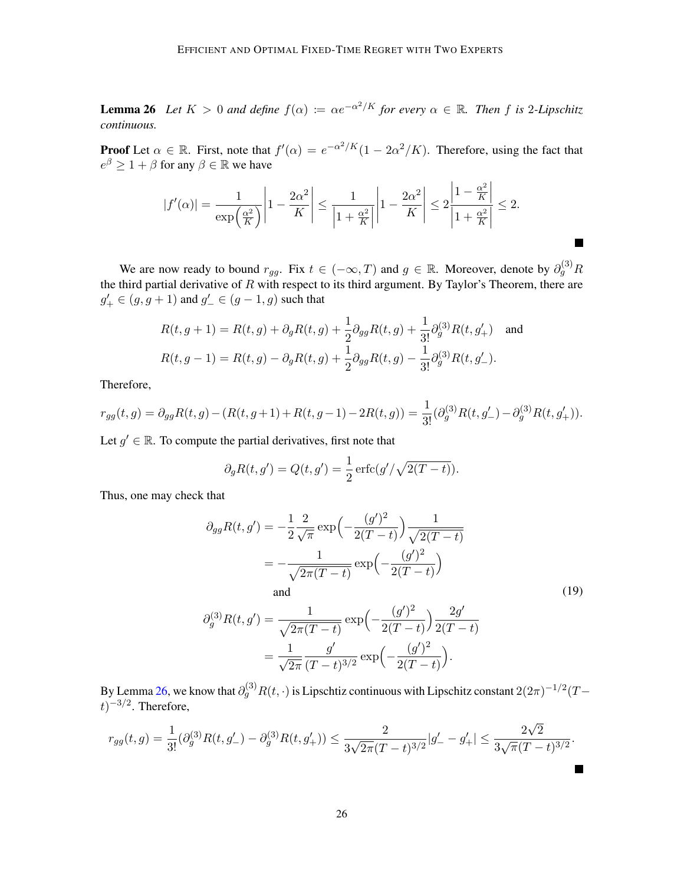**Lemma 26** Let  $K > 0$  and define  $f(\alpha) := \alpha e^{-\alpha^2/K}$  for every  $\alpha \in \mathbb{R}$ . Then f is 2-Lipschitz *continuous.*

**Proof** Let  $\alpha \in \mathbb{R}$ . First, note that  $f'(\alpha) = e^{-\alpha^2/K}(1 - 2\alpha^2/K)$ . Therefore, using the fact that  $e^{\beta} \ge 1 + \beta$  for any  $\beta \in \mathbb{R}$  we have

$$
|f'(\alpha)| = \frac{1}{\exp\left(\frac{\alpha^2}{K}\right)} \left| 1 - \frac{2\alpha^2}{K} \right| \le \frac{1}{\left| 1 + \frac{\alpha^2}{K} \right|} \left| 1 - \frac{2\alpha^2}{K} \right| \le 2 \frac{\left| 1 - \frac{\alpha^2}{K} \right|}{\left| 1 + \frac{\alpha^2}{K} \right|} \le 2.
$$

П

We are now ready to bound  $r_{gg}$ . Fix  $t \in (-\infty, T)$  and  $g \in \mathbb{R}$ . Moreover, denote by  $\partial_g^{(3)}R$ the third partial derivative of  $R$  with respect to its third argument. By Taylor's Theorem, there are  $g'_{+} \in (g, g+1)$  and  $g'_{-} \in (g-1, g)$  such that

$$
R(t,g+1) = R(t,g) + \partial_g R(t,g) + \frac{1}{2} \partial_{gg} R(t,g) + \frac{1}{3!} \partial_g^{(3)} R(t,g'_+) \text{ and}
$$
  

$$
R(t,g-1) = R(t,g) - \partial_g R(t,g) + \frac{1}{2} \partial_{gg} R(t,g) - \frac{1}{3!} \partial_g^{(3)} R(t,g'_-).
$$

Therefore,

$$
r_{gg}(t,g) = \partial_{gg}R(t,g) - (R(t,g+1) + R(t,g-1) - 2R(t,g)) = \frac{1}{3!}(\partial_g^{(3)}R(t,g'_-) - \partial_g^{(3)}R(t,g'_+)).
$$

Let  $g' \in \mathbb{R}$ . To compute the partial derivatives, first note that

$$
\partial_g R(t, g') = Q(t, g') = \frac{1}{2} \operatorname{erfc}(g'/\sqrt{2(T-t)}).
$$

Thus, one may check that

<span id="page-25-0"></span>
$$
\partial_{gg}R(t,g') = -\frac{1}{2}\frac{2}{\sqrt{\pi}}\exp\left(-\frac{(g')^2}{2(T-t)}\right)\frac{1}{\sqrt{2(T-t)}}
$$

$$
= -\frac{1}{\sqrt{2\pi(T-t)}}\exp\left(-\frac{(g')^2}{2(T-t)}\right)
$$
and  

$$
\partial_g^{(3)}R(t,g') = \frac{1}{\sqrt{2\pi(T-t)}}\exp\left(-\frac{(g')^2}{2(T-t)}\right)\frac{2g'}{2(T-t)}
$$

$$
= \frac{1}{\sqrt{2\pi}}\frac{g'}{(T-t)^{3/2}}\exp\left(-\frac{(g')^2}{2(T-t)}\right).
$$
(19)

By Lemma [26,](#page-24-0) we know that  $\partial_g^{(3)}R(t,\cdot)$  is Lipschtiz continuous with Lipschitz constant  $2(2\pi)^{-1/2}(T-t)$  $(t)^{-3/2}$ . Therefore,

$$
r_{gg}(t,g)=\frac{1}{3!}(\partial_g^{(3)} R(t,g'_-)-\partial_g^{(3)} R(t,g'_+))\leq \frac{2}{3\sqrt{2\pi}(T-t)^{3/2}}|g'_--g'_+|\leq \frac{2\sqrt{2}}{3\sqrt{\pi}(T-t)^{3/2}}.
$$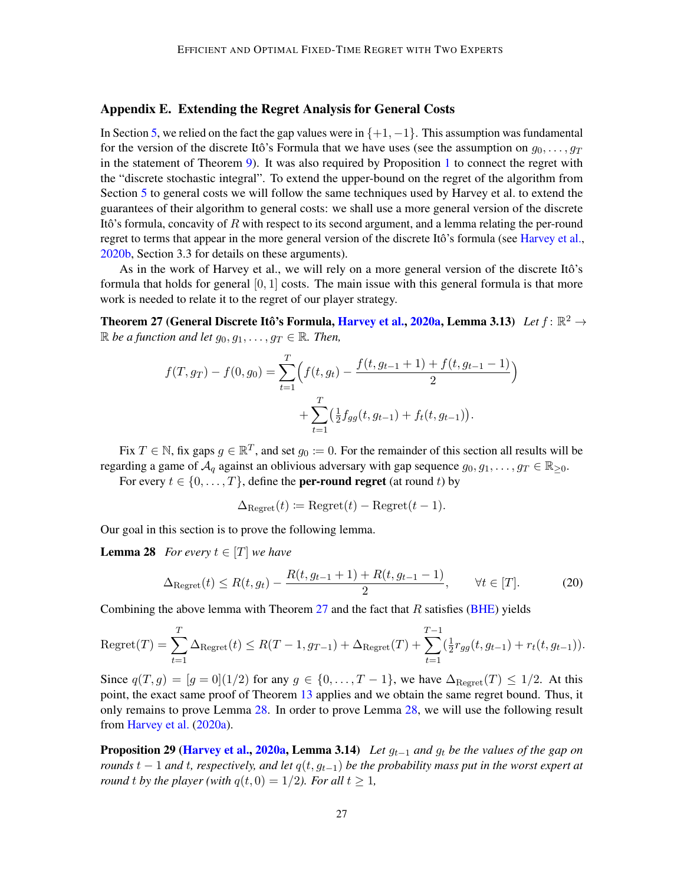## <span id="page-26-0"></span>Appendix E. Extending the Regret Analysis for General Costs

In Section [5,](#page-9-0) we relied on the fact the gap values were in  $\{+1, -1\}$ . This assumption was fundamental for the version of the discrete Itô's Formula that we have uses (see the assumption on  $q_0, \ldots, q_T$ ) in the statement of Theorem [9\)](#page-9-3). It was also required by Proposition [1](#page-3-1) to connect the regret with the "discrete stochastic integral". To extend the upper-bound on the regret of the algorithm from Section [5](#page-9-0) to general costs we will follow the same techniques used by Harvey et al. to extend the guarantees of their algorithm to general costs: we shall use a more general version of the discrete Itô's formula, concavity of  $R$  with respect to its second argument, and a lemma relating the per-round regret to terms that appear in the more general version of the discrete Itô's formula (see [Harvey et al.,](#page-13-6) [2020b,](#page-13-6) Section 3.3 for details on these arguments).

As in the work of Harvey et al., we will rely on a more general version of the discrete Itô's formula that holds for general  $[0, 1]$  costs. The main issue with this general formula is that more work is needed to relate it to the regret of our player strategy.

Theorem 27 (General Discrete Itô's Formula, [Harvey et al.,](#page-13-8) [2020a,](#page-13-8) Lemma 3.13) *Let*  $f \colon \mathbb{R}^2 \to$  $\mathbb R$  *be a function and let*  $g_0, g_1, \ldots, g_T \in \mathbb R$ *. Then,* 

<span id="page-26-1"></span>
$$
f(T,g_T) - f(0,g_0) = \sum_{t=1}^T \left( f(t,g_t) - \frac{f(t,g_{t-1}+1) + f(t,g_{t-1}-1)}{2} \right) + \sum_{t=1}^T \left( \frac{1}{2} f_{gg}(t,g_{t-1}) + f_t(t,g_{t-1}) \right).
$$

Fix  $T \in \mathbb{N}$ , fix gaps  $g \in \mathbb{R}^T$ , and set  $g_0 \coloneqq 0$ . For the remainder of this section all results will be regarding a game of  $\mathcal{A}_q$  against an oblivious adversary with gap sequence  $g_0, g_1, \ldots, g_T \in \mathbb{R}_{\geq 0}$ .

For every  $t \in \{0, \ldots, T\}$ , define the **per-round regret** (at round t) by

<span id="page-26-2"></span>
$$
\Delta_{\text{Regret}}(t) \coloneqq \text{Regret}(t) - \text{Regret}(t-1).
$$

Our goal in this section is to prove the following lemma.

**Lemma 28** *For every*  $t \in [T]$  *we have* 

<span id="page-26-3"></span>
$$
\Delta_{\text{Regret}}(t) \le R(t, g_t) - \frac{R(t, g_{t-1} + 1) + R(t, g_{t-1} - 1)}{2}, \qquad \forall t \in [T]. \tag{20}
$$

Combining the above lemma with Theorem [27](#page-26-1) and the fact that  $R$  satisfies [\(BHE\)](#page-6-1) yields

$$
Regret(T) = \sum_{t=1}^{T} \Delta_{Regret}(t) \leq R(T-1, g_{T-1}) + \Delta_{Regret}(T) + \sum_{t=1}^{T-1} (\frac{1}{2}r_{gg}(t, g_{t-1}) + r_t(t, g_{t-1})).
$$

Since  $q(T, g) = [g = 0](1/2)$  for any  $g \in \{0, \ldots, T-1\}$ , we have  $\Delta_{\text{Regret}}(T) \leq 1/2$ . At this point, the exact same proof of Theorem [13](#page-11-4) applies and we obtain the same regret bound. Thus, it only remains to prove Lemma [28.](#page-26-2) In order to prove Lemma [28,](#page-26-2) we will use the following result from [Harvey et al.](#page-13-8) [\(2020a\)](#page-13-8).

<span id="page-26-4"></span>Proposition 29 [\(Harvey et al.,](#page-13-8) [2020a,](#page-13-8) Lemma 3.14) *Let* gt−<sup>1</sup> *and* g<sup>t</sup> *be the values of the gap on rounds*  $t - 1$  *and*  $t$ *, respectively, and let*  $q(t, g_{t-1})$  *be the probability mass put in the worst expert at round* t by the player (with  $q(t, 0) = 1/2$ *). For all*  $t > 1$ *,*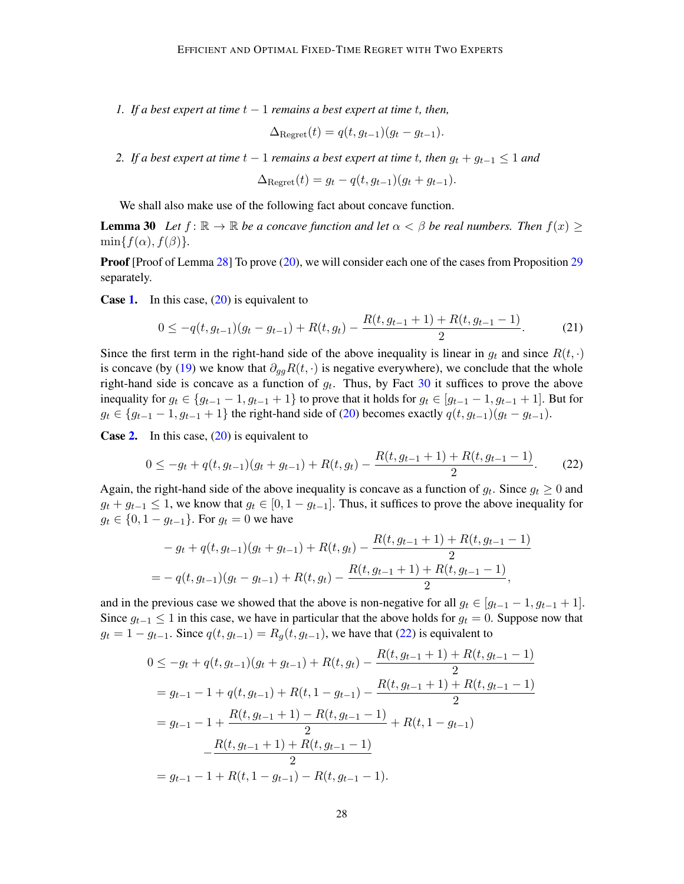<span id="page-27-0"></span>*1.* If a best expert at time  $t - 1$  remains a best expert at time t, then,

<span id="page-27-1"></span>
$$
\Delta_{\text{Regret}}(t) = q(t, g_{t-1})(g_t - g_{t-1}).
$$

<span id="page-27-2"></span>*2. If a best expert at time*  $t - 1$  *remains a best expert at time t, then*  $g_t + g_{t-1} \leq 1$  *and* 

$$
\Delta_{\text{Regret}}(t) = g_t - q(t, g_{t-1})(g_t + g_{t-1}).
$$

We shall also make use of the following fact about concave function.

**Lemma 30** Let  $f: \mathbb{R} \to \mathbb{R}$  be a concave function and let  $\alpha < \beta$  be real numbers. Then  $f(x) \ge$  $\min\{f(\alpha), f(\beta)\}.$ 

**Proof** [Proof of Lemma [28\]](#page-26-2) To prove [\(20\)](#page-26-3), we will consider each one of the cases from Proposition [29](#page-26-4) separately.

**Case [1.](#page-27-0)** In this case,  $(20)$  is equivalent to

$$
0 \le -q(t, g_{t-1})(g_t - g_{t-1}) + R(t, g_t) - \frac{R(t, g_{t-1} + 1) + R(t, g_{t-1} - 1)}{2}.
$$
 (21)

Since the first term in the right-hand side of the above inequality is linear in  $g_t$  and since  $R(t, \cdot)$ is concave (by [\(19\)](#page-25-0) we know that  $\partial_{qq}R(t,\cdot)$  is negative everywhere), we conclude that the whole right-hand side is concave as a function of  $g_t$ . Thus, by Fact [30](#page-27-1) it suffices to prove the above inequality for  $g_t \in \{g_{t-1} - 1, g_{t-1} + 1\}$  to prove that it holds for  $g_t \in [g_{t-1} - 1, g_{t-1} + 1]$ . But for  $g_t \in \{g_{t-1} - 1, g_{t-1} + 1\}$  the right-hand side of [\(20\)](#page-26-3) becomes exactly  $q(t, g_{t-1})(g_t - g_{t-1})$ .

**Case [2.](#page-27-2)** In this case,  $(20)$  is equivalent to

<span id="page-27-3"></span>
$$
0 \le -g_t + q(t, g_{t-1})(g_t + g_{t-1}) + R(t, g_t) - \frac{R(t, g_{t-1} + 1) + R(t, g_{t-1} - 1)}{2}.
$$
 (22)

Again, the right-hand side of the above inequality is concave as a function of  $g_t$ . Since  $g_t \ge 0$  and  $g_t + g_{t-1} \leq 1$ , we know that  $g_t \in [0, 1 - g_{t-1}]$ . Thus, it suffices to prove the above inequality for  $g_t \in \{0, 1 - g_{t-1}\}.$  For  $g_t = 0$  we have

$$
-g_t + q(t, g_{t-1})(g_t + g_{t-1}) + R(t, g_t) - \frac{R(t, g_{t-1} + 1) + R(t, g_{t-1} - 1)}{2}
$$
  
= 
$$
-q(t, g_{t-1})(g_t - g_{t-1}) + R(t, g_t) - \frac{R(t, g_{t-1} + 1) + R(t, g_{t-1} - 1)}{2},
$$

and in the previous case we showed that the above is non-negative for all  $g_t \in [g_{t-1} - 1, g_{t-1} + 1]$ . Since  $g_{t-1} \leq 1$  in this case, we have in particular that the above holds for  $g_t = 0$ . Suppose now that  $g_t = 1 - g_{t-1}$ . Since  $q(t, g_{t-1}) = R_q(t, g_{t-1})$ , we have that [\(22\)](#page-27-3) is equivalent to

$$
0 \leq -g_t + q(t, g_{t-1})(g_t + g_{t-1}) + R(t, g_t) - \frac{R(t, g_{t-1} + 1) + R(t, g_{t-1} - 1)}{2}
$$
  
=  $g_{t-1} - 1 + q(t, g_{t-1}) + R(t, 1 - g_{t-1}) - \frac{R(t, g_{t-1} + 1) + R(t, g_{t-1} - 1)}{2}$   
=  $g_{t-1} - 1 + \frac{R(t, g_{t-1} + 1) - R(t, g_{t-1} - 1)}{2} + R(t, 1 - g_{t-1})$   
=  $g_{t-1} - 1 + R(t, 1 - g_{t-1}) - R(t, g_{t-1} - 1).$